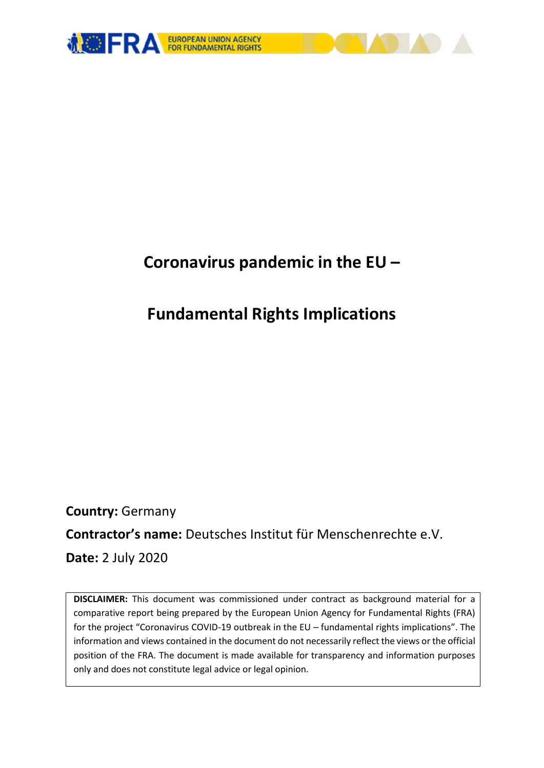

# **Coronavirus pandemic in the EU –**

# **Fundamental Rights Implications**

**Country:** Germany **Contractor's name:** Deutsches Institut für Menschenrechte e.V. **Date:** 2 July 2020

**DISCLAIMER:** This document was commissioned under contract as background material for a comparative report being prepared by the European Union Agency for Fundamental Rights (FRA) for the project "Coronavirus COVID-19 outbreak in the EU – fundamental rights implications". The information and views contained in the document do not necessarily reflect the views or the official position of the FRA. The document is made available for transparency and information purposes only and does not constitute legal advice or legal opinion.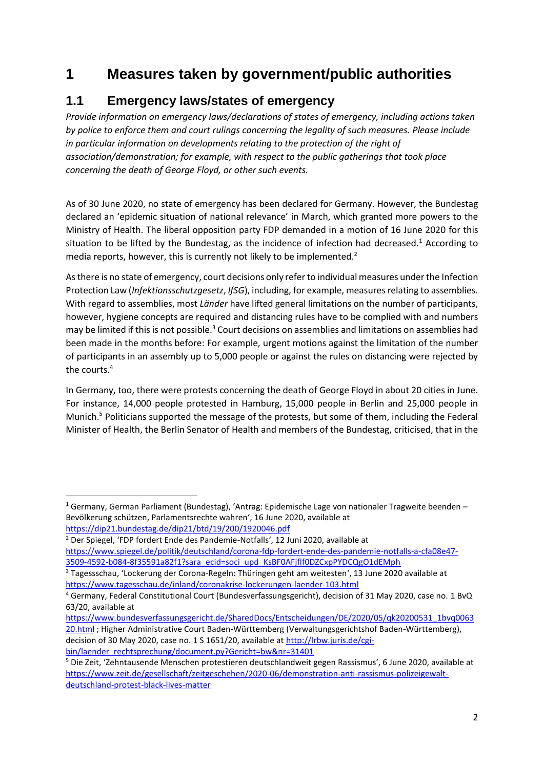## **1 Measures taken by government/public authorities**

## **1.1 Emergency laws/states of emergency**

*Provide information on emergency laws/declarations of states of emergency, including actions taken by police to enforce them and court rulings concerning the legality of such measures. Please include in particular information on developments relating to the protection of the right of association/demonstration; for example, with respect to the public gatherings that took place concerning the death of George Floyd, or other such events.*

As of 30 June 2020, no state of emergency has been declared for Germany. However, the Bundestag declared an 'epidemic situation of national relevance' in March, which granted more powers to the Ministry of Health. The liberal opposition party FDP demanded in a motion of 16 June 2020 for this situation to be lifted by the Bundestag, as the incidence of infection had decreased.<sup>1</sup> According to media reports, however, this is currently not likely to be implemented.<sup>2</sup>

Asthere is no state of emergency, court decisions only refer to individual measures under the Infection Protection Law (*Infektionsschutzgesetz*, *IfSG*), including, for example, measures relating to assemblies. With regard to assemblies, most *Länder* have lifted general limitations on the number of participants, however, hygiene concepts are required and distancing rules have to be complied with and numbers may be limited if this is not possible.<sup>3</sup> Court decisions on assemblies and limitations on assemblies had been made in the months before: For example, urgent motions against the limitation of the number of participants in an assembly up to 5,000 people or against the rules on distancing were rejected by the courts.<sup>4</sup>

In Germany, too, there were protests concerning the death of George Floyd in about 20 cities in June. For instance, 14,000 people protested in Hamburg, 15,000 people in Berlin and 25,000 people in Munich.<sup>5</sup> Politicians supported the message of the protests, but some of them, including the Federal Minister of Health, the Berlin Senator of Health and members of the Bundestag, criticised, that in the

1

[https://www.bundesverfassungsgericht.de/SharedDocs/Entscheidungen/DE/2020/05/qk20200531\\_1bvq0063](https://www.bundesverfassungsgericht.de/SharedDocs/Entscheidungen/DE/2020/05/qk20200531_1bvq006320.html) [20.html](https://www.bundesverfassungsgericht.de/SharedDocs/Entscheidungen/DE/2020/05/qk20200531_1bvq006320.html) ; Higher Administrative Court Baden-Württemberg (Verwaltungsgerichtshof Baden-Württemberg), decision of 30 May 2020, case no. 1 S 1651/20, available at [http://lrbw.juris.de/cgi](http://lrbw.juris.de/cgi-bin/laender_rechtsprechung/document.py?Gericht=bw&nr=31401)[bin/laender\\_rechtsprechung/document.py?Gericht=bw&nr=31401](http://lrbw.juris.de/cgi-bin/laender_rechtsprechung/document.py?Gericht=bw&nr=31401)

<sup>1</sup> Germany, German Parliament (Bundestag), 'Antrag: Epidemische Lage von nationaler Tragweite beenden – Bevölkerung schützen, Parlamentsrechte wahren', 16 June 2020, available at <https://dip21.bundestag.de/dip21/btd/19/200/1920046.pdf>

<sup>&</sup>lt;sup>2</sup> Der Spiegel, 'FDP fordert Ende des Pandemie-Notfalls', 12 Juni 2020, available at

[https://www.spiegel.de/politik/deutschland/corona-fdp-fordert-ende-des-pandemie-notfalls-a-cfa08e47-](https://www.spiegel.de/politik/deutschland/corona-fdp-fordert-ende-des-pandemie-notfalls-a-cfa08e47-3509-4592-b084-8f35591a82f1?sara_ecid=soci_upd_KsBF0AFjflf0DZCxpPYDCQgO1dEMph) [3509-4592-b084-8f35591a82f1?sara\\_ecid=soci\\_upd\\_KsBF0AFjflf0DZCxpPYDCQgO1dEMph](https://www.spiegel.de/politik/deutschland/corona-fdp-fordert-ende-des-pandemie-notfalls-a-cfa08e47-3509-4592-b084-8f35591a82f1?sara_ecid=soci_upd_KsBF0AFjflf0DZCxpPYDCQgO1dEMph) 

<sup>3</sup> Tagessschau, 'Lockerung der Corona-Regeln: Thüringen geht am weitesten', 13 June 2020 available at <https://www.tagesschau.de/inland/coronakrise-lockerungen-laender-103.html>

<sup>4</sup> Germany, Federal Constitutional Court (Bundesverfassungsgericht), decision of 31 May 2020, case no. 1 BvQ 63/20, available at

<sup>5</sup> Die Zeit, 'Zehntausende Menschen protestieren deutschlandweit gegen Rassismus', 6 June 2020, available at [https://www.zeit.de/gesellschaft/zeitgeschehen/2020-06/demonstration-anti-rassismus-polizeigewalt](https://www.zeit.de/gesellschaft/zeitgeschehen/2020-06/demonstration-anti-rassismus-polizeigewalt-deutschland-protest-black-lives-matter)[deutschland-protest-black-lives-matter](https://www.zeit.de/gesellschaft/zeitgeschehen/2020-06/demonstration-anti-rassismus-polizeigewalt-deutschland-protest-black-lives-matter)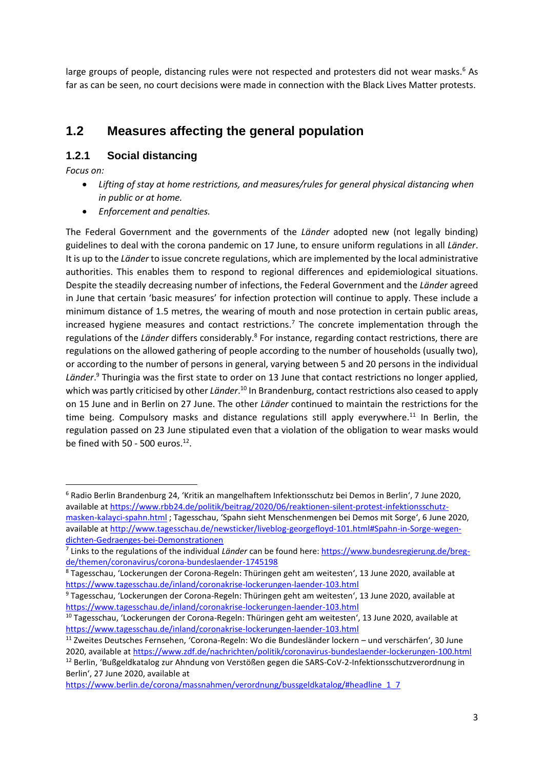large groups of people, distancing rules were not respected and protesters did not wear masks.<sup>6</sup> As far as can be seen, no court decisions were made in connection with the Black Lives Matter protests.

## **1.2 Measures affecting the general population**

#### **1.2.1 Social distancing**

*Focus on:* 

**.** 

- *Lifting of stay at home restrictions, and measures/rules for general physical distancing when in public or at home.*
- *Enforcement and penalties.*

The Federal Government and the governments of the *Länder* adopted new (not legally binding) guidelines to deal with the corona pandemic on 17 June, to ensure uniform regulations in all *Länder*. It is up to the *Länder* to issue concrete regulations, which are implemented by the local administrative authorities. This enables them to respond to regional differences and epidemiological situations. Despite the steadily decreasing number of infections, the Federal Government and the *Länder* agreed in June that certain 'basic measures' for infection protection will continue to apply. These include a minimum distance of 1.5 metres, the wearing of mouth and nose protection in certain public areas, increased hygiene measures and contact restrictions.<sup>7</sup> The concrete implementation through the regulations of the Länder differs considerably.<sup>8</sup> For instance, regarding contact restrictions, there are regulations on the allowed gathering of people according to the number of households (usually two), or according to the number of persons in general, varying between 5 and 20 persons in the individual *Länder*. <sup>9</sup> Thuringia was the first state to order on 13 June that contact restrictions no longer applied, which was partly criticised by other *Länder*.<sup>10</sup> In Brandenburg, contact restrictions also ceased to apply on 15 June and in Berlin on 27 June. The other *Länder* continued to maintain the restrictions for the time being. Compulsory masks and distance regulations still apply everywhere.<sup>11</sup> In Berlin, the regulation passed on 23 June stipulated even that a violation of the obligation to wear masks would be fined with 50 - 500 euros. $12$ .

<sup>6</sup> Radio Berlin Brandenburg 24, 'Kritik an mangelhaftem Infektionsschutz bei Demos in Berlin', 7 June 2020, available a[t https://www.rbb24.de/politik/beitrag/2020/06/reaktionen-silent-protest-infektionsschutz](https://www.rbb24.de/politik/beitrag/2020/06/reaktionen-silent-protest-infektionsschutz-masken-kalayci-spahn.html)[masken-kalayci-spahn.html](https://www.rbb24.de/politik/beitrag/2020/06/reaktionen-silent-protest-infektionsschutz-masken-kalayci-spahn.html) ; Tagesschau, 'Spahn sieht Menschenmengen bei Demos mit Sorge', 6 June 2020, available a[t http://www.tagesschau.de/newsticker/liveblog-georgefloyd-101.html#Spahn-in-Sorge-wegen](http://www.tagesschau.de/newsticker/liveblog-georgefloyd-101.html#Spahn-in-Sorge-wegen-dichten-Gedraenges-bei-Demonstrationen)[dichten-Gedraenges-bei-Demonstrationen](http://www.tagesschau.de/newsticker/liveblog-georgefloyd-101.html#Spahn-in-Sorge-wegen-dichten-Gedraenges-bei-Demonstrationen)

<sup>&</sup>lt;sup>7</sup> Links to the regulations of the individual *Länder* can be found here: *https://www.bundesregierung.de/breg*[de/themen/coronavirus/corona-bundeslaender-1745198](https://www.bundesregierung.de/breg-de/themen/coronavirus/corona-bundeslaender-1745198)

<sup>8</sup> Tagesschau, 'Lockerungen der Corona-Regeln: Thüringen geht am weitesten', 13 June 2020, available at <https://www.tagesschau.de/inland/coronakrise-lockerungen-laender-103.html>

<sup>9</sup> Tagesschau, 'Lockerungen der Corona-Regeln: Thüringen geht am weitesten', 13 June 2020, available at <https://www.tagesschau.de/inland/coronakrise-lockerungen-laender-103.html>

<sup>10</sup> Tagesschau, 'Lockerungen der Corona-Regeln: Thüringen geht am weitesten', 13 June 2020, available at <https://www.tagesschau.de/inland/coronakrise-lockerungen-laender-103.html>

<sup>11</sup> Zweites Deutsches Fernsehen, 'Corona-Regeln: Wo die Bundesländer lockern – und verschärfen', 30 June 2020, available a[t https://www.zdf.de/nachrichten/politik/coronavirus-bundeslaender-lockerungen-100.html](https://www.zdf.de/nachrichten/politik/coronavirus-bundeslaender-lockerungen-100.html)

<sup>&</sup>lt;sup>12</sup> Berlin, 'Bußgeldkatalog zur Ahndung von Verstößen gegen die SARS-CoV-2-Infektionsschutzverordnung in Berlin', 27 June 2020, available at

[https://www.berlin.de/corona/massnahmen/verordnung/bussgeldkatalog/#headline\\_1\\_7](https://www.berlin.de/corona/massnahmen/verordnung/bussgeldkatalog/#headline_1_7)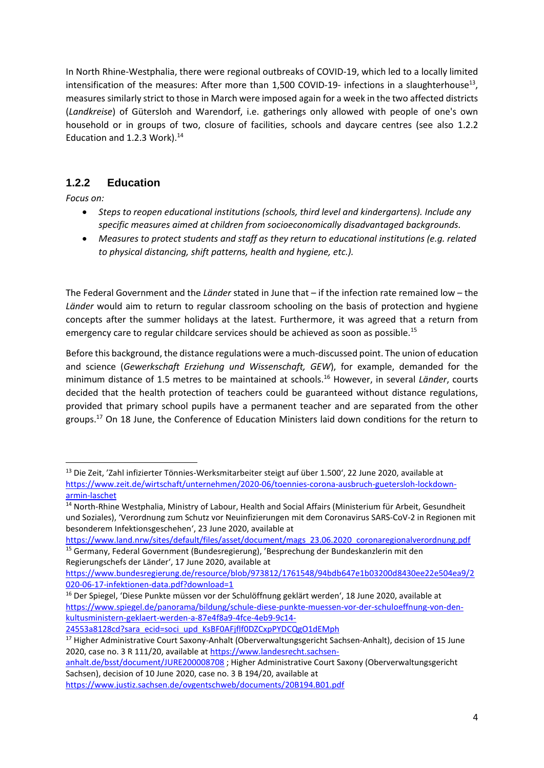In North Rhine-Westphalia, there were regional outbreaks of COVID-19, which led to a locally limited intensification of the measures: After more than 1,500 COVID-19- infections in a slaughterhouse<sup>13</sup>, measures similarly strict to those in March were imposed again for a week in the two affected districts (*Landkreise*) of Gütersloh and Warendorf, i.e. gatherings only allowed with people of one's own household or in groups of two, closure of facilities, schools and daycare centres (see also 1.2.2 Education and 1.2.3 Work). $^{14}$ 

### **1.2.2 Education**

*Focus on:*

1

- *Steps to reopen educational institutions (schools, third level and kindergartens). Include any specific measures aimed at children from socioeconomically disadvantaged backgrounds.*
- *Measures to protect students and staff as they return to educational institutions (e.g. related to physical distancing, shift patterns, health and hygiene, etc.).*

The Federal Government and the *Länder* stated in June that – if the infection rate remained low – the *Länder* would aim to return to regular classroom schooling on the basis of protection and hygiene concepts after the summer holidays at the latest. Furthermore, it was agreed that a return from emergency care to regular childcare services should be achieved as soon as possible.<sup>15</sup>

Before this background, the distance regulations were a much-discussed point. The union of education and science (*Gewerkschaft Erziehung und Wissenschaft, GEW*), for example, demanded for the minimum distance of 1.5 metres to be maintained at schools.<sup>16</sup> However, in several *Länder*, courts decided that the health protection of teachers could be guaranteed without distance regulations, provided that primary school pupils have a permanent teacher and are separated from the other groups.<sup>17</sup> On 18 June, the Conference of Education Ministers laid down conditions for the return to

[24553a8128cd?sara\\_ecid=soci\\_upd\\_KsBF0AFjflf0DZCxpPYDCQgO1dEMph](https://www.spiegel.de/panorama/bildung/schule-diese-punkte-muessen-vor-der-schuloeffnung-von-den-kultusministern-geklaert-werden-a-87e4f8a9-4fce-4eb9-9c14-24553a8128cd?sara_ecid=soci_upd_KsBF0AFjflf0DZCxpPYDCQgO1dEMph)

[anhalt.de/bsst/document/JURE200008708](https://www.landesrecht.sachsen-anhalt.de/bsst/document/JURE200008708) ; Higher Administrative Court Saxony (Oberverwaltungsgericht Sachsen), decision of 10 June 2020, case no. 3 B 194/20, available at

<sup>&</sup>lt;sup>13</sup> Die Zeit, 'Zahl infizierter Tönnies-Werksmitarbeiter steigt auf über 1.500<sup>°</sup>, 22 June 2020, available at [https://www.zeit.de/wirtschaft/unternehmen/2020-06/toennies-corona-ausbruch-guetersloh-lockdown](https://www.zeit.de/wirtschaft/unternehmen/2020-06/toennies-corona-ausbruch-guetersloh-lockdown-armin-laschet)[armin-laschet](https://www.zeit.de/wirtschaft/unternehmen/2020-06/toennies-corona-ausbruch-guetersloh-lockdown-armin-laschet)

<sup>14</sup> North-Rhine Westphalia, Ministry of Labour, Health and Social Affairs (Ministerium für Arbeit, Gesundheit und Soziales), 'Verordnung zum Schutz vor Neuinfizierungen mit dem Coronavirus SARS-CoV-2 in Regionen mit besonderem Infektionsgeschehen', 23 June 2020, available at

[https://www.land.nrw/sites/default/files/asset/document/mags\\_23.06.2020\\_coronaregionalverordnung.pdf](https://www.land.nrw/sites/default/files/asset/document/mags_23.06.2020_coronaregionalverordnung.pdf) <sup>15</sup> Germany, Federal Government (Bundesregierung), 'Besprechung der Bundeskanzlerin mit den Regierungschefs der Länder', 17 June 2020, available at

[https://www.bundesregierung.de/resource/blob/973812/1761548/94bdb647e1b03200d8430ee22e504ea9/2](https://www.bundesregierung.de/resource/blob/973812/1761548/94bdb647e1b03200d8430ee22e504ea9/2020-06-17-infektionen-data.pdf?download=1) [020-06-17-infektionen-data.pdf?download=1](https://www.bundesregierung.de/resource/blob/973812/1761548/94bdb647e1b03200d8430ee22e504ea9/2020-06-17-infektionen-data.pdf?download=1)

<sup>&</sup>lt;sup>16</sup> Der Spiegel, 'Diese Punkte müssen vor der Schulöffnung geklärt werden', 18 June 2020, available at [https://www.spiegel.de/panorama/bildung/schule-diese-punkte-muessen-vor-der-schuloeffnung-von-den](https://www.spiegel.de/panorama/bildung/schule-diese-punkte-muessen-vor-der-schuloeffnung-von-den-kultusministern-geklaert-werden-a-87e4f8a9-4fce-4eb9-9c14-24553a8128cd?sara_ecid=soci_upd_KsBF0AFjflf0DZCxpPYDCQgO1dEMph)[kultusministern-geklaert-werden-a-87e4f8a9-4fce-4eb9-9c14-](https://www.spiegel.de/panorama/bildung/schule-diese-punkte-muessen-vor-der-schuloeffnung-von-den-kultusministern-geklaert-werden-a-87e4f8a9-4fce-4eb9-9c14-24553a8128cd?sara_ecid=soci_upd_KsBF0AFjflf0DZCxpPYDCQgO1dEMph)

<sup>&</sup>lt;sup>17</sup> Higher Administrative Court Saxony-Anhalt (Oberverwaltungsgericht Sachsen-Anhalt), decision of 15 June 2020, case no. 3 R 111/20, available at [https://www.landesrecht.sachsen-](https://www.landesrecht.sachsen-anhalt.de/bsst/document/JURE200008708)

<https://www.justiz.sachsen.de/ovgentschweb/documents/20B194.B01.pdf>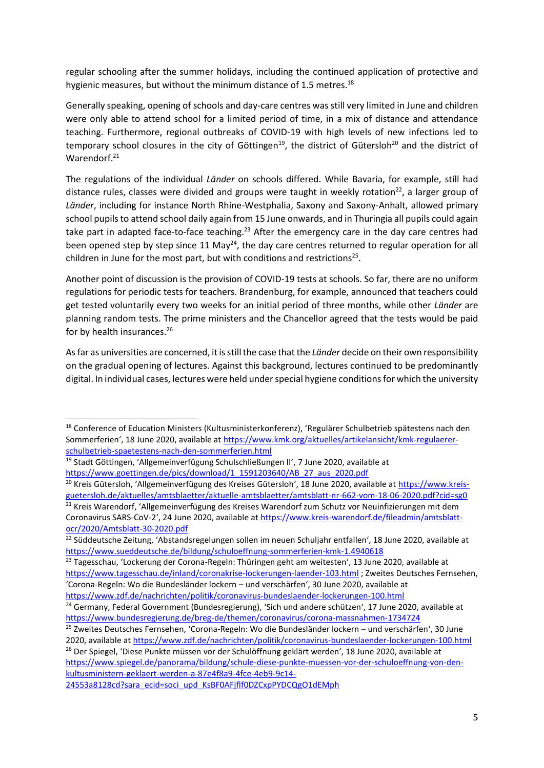regular schooling after the summer holidays, including the continued application of protective and hygienic measures, but without the minimum distance of 1.5 metres.<sup>18</sup>

Generally speaking, opening of schools and day-care centres was still very limited in June and children were only able to attend school for a limited period of time, in a mix of distance and attendance teaching. Furthermore, regional outbreaks of COVID-19 with high levels of new infections led to temporary school closures in the city of Göttingen<sup>19</sup>, the district of Gütersloh<sup>20</sup> and the district of Warendorf.<sup>21</sup>

The regulations of the individual *Länder* on schools differed. While Bavaria, for example, still had distance rules, classes were divided and groups were taught in weekly rotation<sup>22</sup>, a larger group of *Länder*, including for instance North Rhine-Westphalia, Saxony and Saxony-Anhalt, allowed primary school pupils to attend school daily again from 15 June onwards, and in Thuringia all pupils could again take part in adapted face-to-face teaching.<sup>23</sup> After the emergency care in the day care centres had been opened step by step since 11 May<sup>24</sup>, the day care centres returned to regular operation for all children in June for the most part, but with conditions and restrictions<sup>25</sup>.

Another point of discussion is the provision of COVID-19 tests at schools. So far, there are no uniform regulations for periodic tests for teachers. Brandenburg, for example, announced that teachers could get tested voluntarily every two weeks for an initial period of three months, while other *Länder* are planning random tests. The prime ministers and the Chancellor agreed that the tests would be paid for by health insurances.<sup>26</sup>

As far as universities are concerned, it is still the case that the *Länder* decide on their own responsibility on the gradual opening of lectures. Against this background, lectures continued to be predominantly digital. In individual cases, lectures were held under special hygiene conditions for which the university

1

<sup>26</sup> Der Spiegel, 'Diese Punkte müssen vor der Schulöffnung geklärt werden', 18 June 2020, available at [https://www.spiegel.de/panorama/bildung/schule-diese-punkte-muessen-vor-der-schuloeffnung-von-den](https://www.spiegel.de/panorama/bildung/schule-diese-punkte-muessen-vor-der-schuloeffnung-von-den-kultusministern-geklaert-werden-a-87e4f8a9-4fce-4eb9-9c14-24553a8128cd?sara_ecid=soci_upd_KsBF0AFjflf0DZCxpPYDCQgO1dEMph)[kultusministern-geklaert-werden-a-87e4f8a9-4fce-4eb9-9c14-](https://www.spiegel.de/panorama/bildung/schule-diese-punkte-muessen-vor-der-schuloeffnung-von-den-kultusministern-geklaert-werden-a-87e4f8a9-4fce-4eb9-9c14-24553a8128cd?sara_ecid=soci_upd_KsBF0AFjflf0DZCxpPYDCQgO1dEMph)

<sup>18</sup> Conference of Education Ministers (Kultusministerkonferenz), 'Regulärer Schulbetrieb spätestens nach den Sommerferien', 18 June 2020, available at [https://www.kmk.org/aktuelles/artikelansicht/kmk-regulaerer](https://www.kmk.org/aktuelles/artikelansicht/kmk-regulaerer-schulbetrieb-spaetestens-nach-den-sommerferien.html)[schulbetrieb-spaetestens-nach-den-sommerferien.html](https://www.kmk.org/aktuelles/artikelansicht/kmk-regulaerer-schulbetrieb-spaetestens-nach-den-sommerferien.html)

<sup>&</sup>lt;sup>19</sup> Stadt Göttingen, 'Allgemeinverfügung Schulschließungen II', 7 June 2020, available at [https://www.goettingen.de/pics/download/1\\_1591203640/AB\\_27\\_aus\\_2020.pdf](https://www.goettingen.de/pics/download/1_1591203640/AB_27_aus_2020.pdf)

<sup>&</sup>lt;sup>20</sup> Kreis Gütersloh, 'Allgemeinverfügung des Kreises Gütersloh', 18 June 2020, available at [https://www.kreis](https://www.kreis-guetersloh.de/aktuelles/amtsblaetter/aktuelle-amtsblaetter/amtsblatt-nr-662-vom-18-06-2020.pdf?cid=sg0)[guetersloh.de/aktuelles/amtsblaetter/aktuelle-amtsblaetter/amtsblatt-nr-662-vom-18-06-2020.pdf?cid=sg0](https://www.kreis-guetersloh.de/aktuelles/amtsblaetter/aktuelle-amtsblaetter/amtsblatt-nr-662-vom-18-06-2020.pdf?cid=sg0)

<sup>&</sup>lt;sup>21</sup> Kreis Warendorf, 'Allgemeinverfügung des Kreises Warendorf zum Schutz vor Neuinfizierungen mit dem Coronavirus SARS-CoV-2', 24 June 2020, available at [https://www.kreis-warendorf.de/fileadmin/amtsblatt](https://www.kreis-warendorf.de/fileadmin/amtsblatt-ocr/2020/Amtsblatt-30-2020.pdf)[ocr/2020/Amtsblatt-30-2020.pdf](https://www.kreis-warendorf.de/fileadmin/amtsblatt-ocr/2020/Amtsblatt-30-2020.pdf)

<sup>&</sup>lt;sup>22</sup> Süddeutsche Zeitung, 'Abstandsregelungen sollen im neuen Schuljahr entfallen', 18 June 2020, available at <https://www.sueddeutsche.de/bildung/schuloeffnung-sommerferien-kmk-1.4940618>

<sup>&</sup>lt;sup>23</sup> Tagesschau, 'Lockerung der Corona-Regeln: Thüringen geht am weitesten', 13 June 2020, available at <https://www.tagesschau.de/inland/coronakrise-lockerungen-laender-103.html> ; Zweites Deutsches Fernsehen, 'Corona-Regeln: Wo die Bundesländer lockern – und verschärfen', 30 June 2020, available at <https://www.zdf.de/nachrichten/politik/coronavirus-bundeslaender-lockerungen-100.html>

<sup>&</sup>lt;sup>24</sup> Germany, Federal Government (Bundesregierung), 'Sich und andere schützen', 17 June 2020, available at <https://www.bundesregierung.de/breg-de/themen/coronavirus/corona-massnahmen-1734724>

<sup>&</sup>lt;sup>25</sup> Zweites Deutsches Fernsehen, 'Corona-Regeln: Wo die Bundesländer lockern – und verschärfen', 30 June 2020, available a[t https://www.zdf.de/nachrichten/politik/coronavirus-bundeslaender-lockerungen-100.html](https://www.zdf.de/nachrichten/politik/coronavirus-bundeslaender-lockerungen-100.html)

[<sup>24553</sup>a8128cd?sara\\_ecid=soci\\_upd\\_KsBF0AFjflf0DZCxpPYDCQgO1dEMph](https://www.spiegel.de/panorama/bildung/schule-diese-punkte-muessen-vor-der-schuloeffnung-von-den-kultusministern-geklaert-werden-a-87e4f8a9-4fce-4eb9-9c14-24553a8128cd?sara_ecid=soci_upd_KsBF0AFjflf0DZCxpPYDCQgO1dEMph)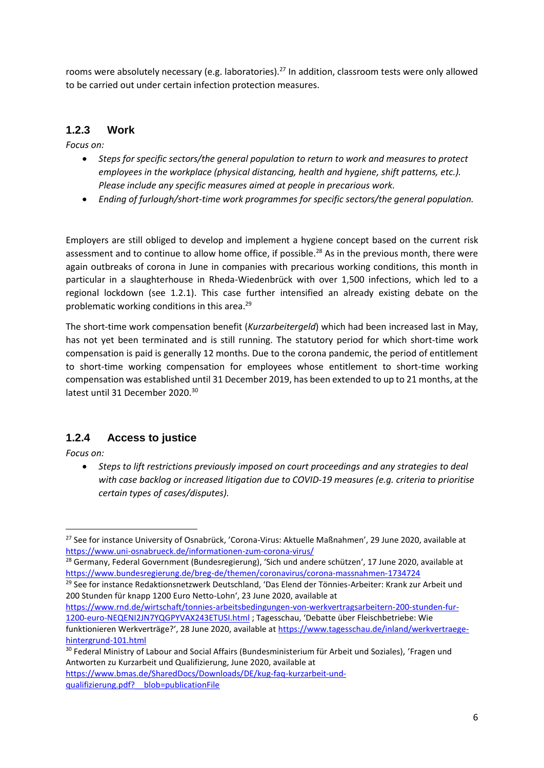rooms were absolutely necessary (e.g. laboratories).<sup>27</sup> In addition, classroom tests were only allowed to be carried out under certain infection protection measures.

### **1.2.3 Work**

*Focus on:* 

- *Steps for specific sectors/the general population to return to work and measures to protect employees in the workplace (physical distancing, health and hygiene, shift patterns, etc.). Please include any specific measures aimed at people in precarious work.*
- *Ending of furlough/short-time work programmes for specific sectors/the general population.*

Employers are still obliged to develop and implement a hygiene concept based on the current risk assessment and to continue to allow home office, if possible.<sup>28</sup> As in the previous month, there were again outbreaks of corona in June in companies with precarious working conditions, this month in particular in a slaughterhouse in Rheda-Wiedenbrück with over 1,500 infections, which led to a regional lockdown (see 1.2.1). This case further intensified an already existing debate on the problematic working conditions in this area.<sup>29</sup>

The short-time work compensation benefit (*Kurzarbeitergeld*) which had been increased last in May, has not yet been terminated and is still running. The statutory period for which short-time work compensation is paid is generally 12 months. Due to the corona pandemic, the period of entitlement to short-time working compensation for employees whose entitlement to short-time working compensation was established until 31 December 2019, has been extended to up to 21 months, at the latest until 31 December 2020.<sup>30</sup>

#### **1.2.4 Access to justice**

*Focus on:* 

**.** 

 *Steps to lift restrictions previously imposed on court proceedings and any strategies to deal with case backlog or increased litigation due to COVID-19 measures (e.g. criteria to prioritise certain types of cases/disputes).*

[https://www.bmas.de/SharedDocs/Downloads/DE/kug-faq-kurzarbeit-und](https://www.bmas.de/SharedDocs/Downloads/DE/kug-faq-kurzarbeit-und-qualifizierung.pdf?__blob=publicationFile)[qualifizierung.pdf?\\_\\_blob=publicationFile](https://www.bmas.de/SharedDocs/Downloads/DE/kug-faq-kurzarbeit-und-qualifizierung.pdf?__blob=publicationFile)

<sup>&</sup>lt;sup>27</sup> See for instance University of Osnabrück, 'Corona-Virus: Aktuelle Maßnahmen', 29 June 2020, available at <https://www.uni-osnabrueck.de/informationen-zum-corona-virus/>

<sup>&</sup>lt;sup>28</sup> Germany, Federal Government (Bundesregierung), 'Sich und andere schützen', 17 June 2020, available at <https://www.bundesregierung.de/breg-de/themen/coronavirus/corona-massnahmen-1734724>

<sup>&</sup>lt;sup>29</sup> See for instance Redaktionsnetzwerk Deutschland, 'Das Elend der Tönnies-Arbeiter: Krank zur Arbeit und 200 Stunden für knapp 1200 Euro Netto-Lohn', 23 June 2020, available at

[https://www.rnd.de/wirtschaft/tonnies-arbeitsbedingungen-von-werkvertragsarbeitern-200-stunden-fur-](https://www.rnd.de/wirtschaft/tonnies-arbeitsbedingungen-von-werkvertragsarbeitern-200-stunden-fur-1200-euro-NEQENI2JN7YQGPYVAX243ETUSI.html)[1200-euro-NEQENI2JN7YQGPYVAX243ETUSI.html](https://www.rnd.de/wirtschaft/tonnies-arbeitsbedingungen-von-werkvertragsarbeitern-200-stunden-fur-1200-euro-NEQENI2JN7YQGPYVAX243ETUSI.html) ; Tagesschau, 'Debatte über Fleischbetriebe: Wie funktionieren Werkverträge?', 28 June 2020, available at [https://www.tagesschau.de/inland/werkvertraege](https://www.tagesschau.de/inland/werkvertraege-hintergrund-101.html)[hintergrund-101.html](https://www.tagesschau.de/inland/werkvertraege-hintergrund-101.html)

<sup>&</sup>lt;sup>30</sup> Federal Ministry of Labour and Social Affairs (Bundesministerium für Arbeit und Soziales), 'Fragen und Antworten zu Kurzarbeit und Qualifizierung, June 2020, available at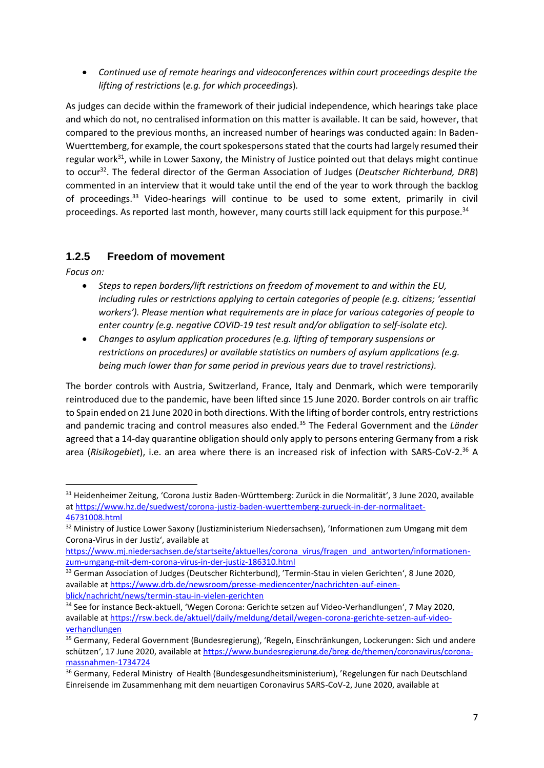*Continued use of remote hearings and videoconferences within court proceedings despite the lifting of restrictions* (*e.g. for which proceedings*)*.*

As judges can decide within the framework of their judicial independence, which hearings take place and which do not, no centralised information on this matter is available. It can be said, however, that compared to the previous months, an increased number of hearings was conducted again: In Baden-Wuerttemberg, for example, the court spokespersons stated that the courts had largely resumed their regular work<sup>31</sup>, while in Lower Saxony, the Ministry of Justice pointed out that delays might continue to occur<sup>32</sup>. The federal director of the German Association of Judges (*Deutscher Richterbund, DRB*) commented in an interview that it would take until the end of the year to work through the backlog of proceedings.<sup>33</sup> Video-hearings will continue to be used to some extent, primarily in civil proceedings. As reported last month, however, many courts still lack equipment for this purpose.<sup>34</sup>

#### **1.2.5 Freedom of movement**

*Focus on:* 

**.** 

- *Steps to repen borders/lift restrictions on freedom of movement to and within the EU, including rules or restrictions applying to certain categories of people (e.g. citizens; 'essential workers'). Please mention what requirements are in place for various categories of people to enter country (e.g. negative COVID-19 test result and/or obligation to self-isolate etc).*
- *Changes to asylum application procedures (*e.*g. lifting of temporary suspensions or restrictions on procedures) or available statistics on numbers of asylum applications (e.g. being much lower than for same period in previous years due to travel restrictions).*

The border controls with Austria, Switzerland, France, Italy and Denmark, which were temporarily reintroduced due to the pandemic, have been lifted since 15 June 2020. Border controls on air traffic to Spain ended on 21 June 2020 in both directions. With the lifting of border controls, entry restrictions and pandemic tracing and control measures also ended.<sup>35</sup> The Federal Government and the *Länder* agreed that a 14-day quarantine obligation should only apply to persons entering Germany from a risk area (*Risikogebiet*), i.e. an area where there is an increased risk of infection with SARS-CoV-2.<sup>36</sup> A

<sup>31</sup> Heidenheimer Zeitung, 'Corona Justiz Baden-Württemberg: Zurück in die Normalität', 3 June 2020, available a[t https://www.hz.de/suedwest/corona-justiz-baden-wuerttemberg-zurueck-in-der-normalitaet-](https://www.hz.de/suedwest/corona-justiz-baden-wuerttemberg-zurueck-in-der-normalitaet-46731008.html)[46731008.html](https://www.hz.de/suedwest/corona-justiz-baden-wuerttemberg-zurueck-in-der-normalitaet-46731008.html)

<sup>32</sup> Ministry of Justice Lower Saxony (Justizministerium Niedersachsen), 'Informationen zum Umgang mit dem Corona-Virus in der Justiz', available at

[https://www.mj.niedersachsen.de/startseite/aktuelles/corona\\_virus/fragen\\_und\\_antworten/informationen](https://www.mj.niedersachsen.de/startseite/aktuelles/corona_virus/fragen_und_antworten/informationen-zum-umgang-mit-dem-corona-virus-in-der-justiz-186310.html)[zum-umgang-mit-dem-corona-virus-in-der-justiz-186310.html](https://www.mj.niedersachsen.de/startseite/aktuelles/corona_virus/fragen_und_antworten/informationen-zum-umgang-mit-dem-corona-virus-in-der-justiz-186310.html)

<sup>&</sup>lt;sup>33</sup> German Association of Judges (Deutscher Richterbund), 'Termin-Stau in vielen Gerichten', 8 June 2020, available a[t https://www.drb.de/newsroom/presse-mediencenter/nachrichten-auf-einen](https://www.drb.de/newsroom/presse-mediencenter/nachrichten-auf-einen-blick/nachricht/news/termin-stau-in-vielen-gerichten)[blick/nachricht/news/termin-stau-in-vielen-gerichten](https://www.drb.de/newsroom/presse-mediencenter/nachrichten-auf-einen-blick/nachricht/news/termin-stau-in-vielen-gerichten)

<sup>34</sup> See for instance Beck-aktuell, 'Wegen Corona: Gerichte setzen auf Video-Verhandlungen', 7 May 2020, available a[t https://rsw.beck.de/aktuell/daily/meldung/detail/wegen-corona-gerichte-setzen-auf-video](https://rsw.beck.de/aktuell/daily/meldung/detail/wegen-corona-gerichte-setzen-auf-video-verhandlungen)[verhandlungen](https://rsw.beck.de/aktuell/daily/meldung/detail/wegen-corona-gerichte-setzen-auf-video-verhandlungen)

<sup>35</sup> Germany, Federal Government (Bundesregierung), 'Regeln, Einschränkungen, Lockerungen: Sich und andere schützen', 17 June 2020, available at [https://www.bundesregierung.de/breg-de/themen/coronavirus/corona](https://www.bundesregierung.de/breg-de/themen/coronavirus/corona-massnahmen-1734724)[massnahmen-1734724](https://www.bundesregierung.de/breg-de/themen/coronavirus/corona-massnahmen-1734724)

<sup>36</sup> Germany, Federal Ministry of Health (Bundesgesundheitsministerium), 'Regelungen für nach Deutschland Einreisende im Zusammenhang mit dem neuartigen Coronavirus SARS-CoV-2, June 2020, available at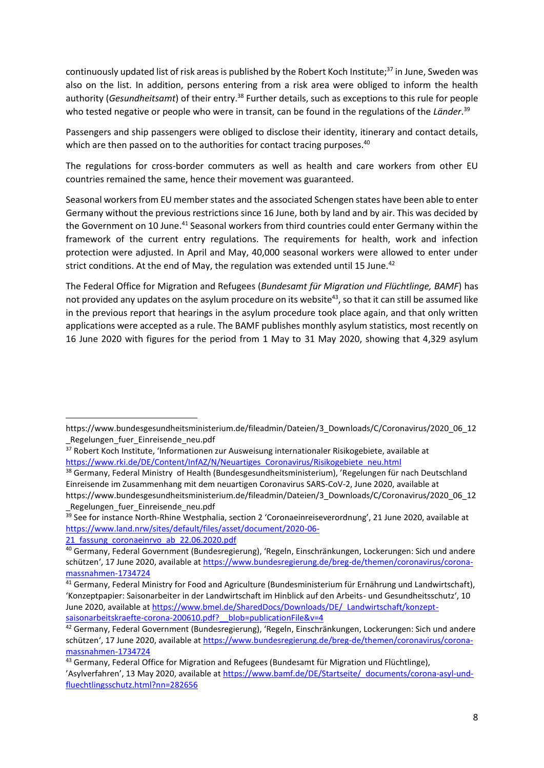continuously updated list of risk areas is published by the Robert Koch Institute;<sup>37</sup> in June, Sweden was also on the list. In addition, persons entering from a risk area were obliged to inform the health authority (*Gesundheitsamt*) of their entry.<sup>38</sup> Further details, such as exceptions to this rule for people who tested negative or people who were in transit, can be found in the regulations of the *Länder*. 39

Passengers and ship passengers were obliged to disclose their identity, itinerary and contact details, which are then passed on to the authorities for contact tracing purposes.<sup>40</sup>

The regulations for cross-border commuters as well as health and care workers from other EU countries remained the same, hence their movement was guaranteed.

Seasonal workers from EU member states and the associated Schengen states have been able to enter Germany without the previous restrictions since 16 June, both by land and by air. This was decided by the Government on 10 June.<sup>41</sup> Seasonal workers from third countries could enter Germany within the framework of the current entry regulations. The requirements for health, work and infection protection were adjusted. In April and May, 40,000 seasonal workers were allowed to enter under strict conditions. At the end of May, the regulation was extended until 15 June. $42$ 

The Federal Office for Migration and Refugees (*Bundesamt für Migration und Flüchtlinge, BAMF*) has not provided any updates on the asylum procedure on its website<sup>43</sup>, so that it can still be assumed like in the previous report that hearings in the asylum procedure took place again, and that only written applications were accepted as a rule. The BAMF publishes monthly asylum statistics, most recently on 16 June 2020 with figures for the period from 1 May to 31 May 2020, showing that 4,329 asylum

1

https://www.bundesgesundheitsministerium.de/fileadmin/Dateien/3\_Downloads/C/Coronavirus/2020\_06\_12 Regelungen fuer Einreisende neu.pdf

<sup>37</sup> Robert Koch Institute, 'Informationen zur Ausweisung internationaler Risikogebiete, available at [https://www.rki.de/DE/Content/InfAZ/N/Neuartiges\\_Coronavirus/Risikogebiete\\_neu.html](https://www.rki.de/DE/Content/InfAZ/N/Neuartiges_Coronavirus/Risikogebiete_neu.html)

<sup>38</sup> Germany, Federal Ministry of Health (Bundesgesundheitsministerium), 'Regelungen für nach Deutschland Einreisende im Zusammenhang mit dem neuartigen Coronavirus SARS-CoV-2, June 2020, available at https://www.bundesgesundheitsministerium.de/fileadmin/Dateien/3\_Downloads/C/Coronavirus/2020\_06\_12 Regelungen fuer Einreisende neu.pdf

<sup>39</sup> See for instance North-Rhine Westphalia, section 2 'Coronaeinreiseverordnung', 21 June 2020, available at [https://www.land.nrw/sites/default/files/asset/document/2020-06-](https://www.land.nrw/sites/default/files/asset/document/2020-06-21_fassung_coronaeinrvo_ab_22.06.2020.pdf)

<sup>21</sup> fassung coronaeinrvo ab 22.06.2020.pdf <sup>40</sup> Germany, Federal Government (Bundesregierung), 'Regeln, Einschränkungen, Lockerungen: Sich und andere

schützen', 17 June 2020, available at [https://www.bundesregierung.de/breg-de/themen/coronavirus/corona](https://www.bundesregierung.de/breg-de/themen/coronavirus/corona-massnahmen-1734724)[massnahmen-1734724](https://www.bundesregierung.de/breg-de/themen/coronavirus/corona-massnahmen-1734724)

<sup>41</sup> Germany, Federal Ministry for Food and Agriculture (Bundesministerium für Ernährung und Landwirtschaft), 'Konzeptpapier: Saisonarbeiter in der Landwirtschaft im Hinblick auf den Arbeits- und Gesundheitsschutz', 10 June 2020, available a[t https://www.bmel.de/SharedDocs/Downloads/DE/\\_Landwirtschaft/konzept](https://www.bmel.de/SharedDocs/Downloads/DE/_Landwirtschaft/konzept-saisonarbeitskraefte-corona-200610.pdf?__blob=publicationFile&v=4)saisonarbeitskraefte-corona-200610.pdf? blob=publicationFile&v=4

<sup>42</sup> Germany, Federal Government (Bundesregierung), 'Regeln, Einschränkungen, Lockerungen: Sich und andere schützen', 17 June 2020, available at [https://www.bundesregierung.de/breg-de/themen/coronavirus/corona](https://www.bundesregierung.de/breg-de/themen/coronavirus/corona-massnahmen-1734724)[massnahmen-1734724](https://www.bundesregierung.de/breg-de/themen/coronavirus/corona-massnahmen-1734724)

<sup>43</sup> Germany, Federal Office for Migration and Refugees (Bundesamt für Migration und Flüchtlinge), 'Asylverfahren', 13 May 2020, available at [https://www.bamf.de/DE/Startseite/\\_documents/corona-asyl-und](https://www.bamf.de/DE/Startseite/_documents/corona-asyl-und-fluechtlingsschutz.html?nn=282656)[fluechtlingsschutz.html?nn=282656](https://www.bamf.de/DE/Startseite/_documents/corona-asyl-und-fluechtlingsschutz.html?nn=282656)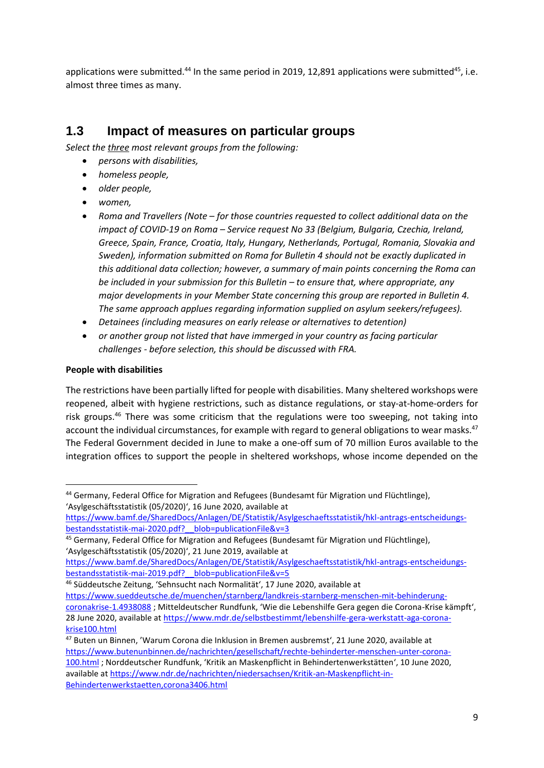applications were submitted.<sup>44</sup> In the same period in 2019, 12,891 applications were submitted<sup>45</sup>, i.e. almost three times as many.

## **1.3 Impact of measures on particular groups**

*Select the three most relevant groups from the following:* 

- *persons with disabilities,*
- *homeless people,*
- *older people,*
- *women,*
- *Roma and Travellers (Note – for those countries requested to collect additional data on the impact of COVID-19 on Roma – Service request No 33 (Belgium, Bulgaria, Czechia, Ireland, Greece, Spain, France, Croatia, Italy, Hungary, Netherlands, Portugal, Romania, Slovakia and Sweden), information submitted on Roma for Bulletin 4 should not be exactly duplicated in this additional data collection; however, a summary of main points concerning the Roma can be included in your submission for this Bulletin – to ensure that, where appropriate, any major developments in your Member State concerning this group are reported in Bulletin 4. The same approach applues regarding information supplied on asylum seekers/refugees).*
- *Detainees (including measures on early release or alternatives to detention)*
- *or another group not listed that have immerged in your country as facing particular challenges - before selection, this should be discussed with FRA.*

#### **People with disabilities**

**.** 

The restrictions have been partially lifted for people with disabilities. Many sheltered workshops were reopened, albeit with hygiene restrictions, such as distance regulations, or stay-at-home-orders for risk groups.<sup>46</sup> There was some criticism that the regulations were too sweeping, not taking into account the individual circumstances, for example with regard to general obligations to wear masks.<sup>47</sup> The Federal Government decided in June to make a one-off sum of 70 million Euros available to the integration offices to support the people in sheltered workshops, whose income depended on the

<sup>44</sup> Germany, Federal Office for Migration and Refugees (Bundesamt für Migration und Flüchtlinge), 'Asylgeschäftsstatistik (05/2020)', 16 June 2020, available at

[https://www.bamf.de/SharedDocs/Anlagen/DE/Statistik/Asylgeschaeftsstatistik/hkl-antrags-entscheidungs](https://www.bamf.de/SharedDocs/Anlagen/DE/Statistik/Asylgeschaeftsstatistik/hkl-antrags-entscheidungs-bestandsstatistik-mai-2020.pdf?__blob=publicationFile&v=3)bestandsstatistik-mai-2020.pdf? blob=publicationFile&v=3

<sup>45</sup> Germany, Federal Office for Migration and Refugees (Bundesamt für Migration und Flüchtlinge), 'Asylgeschäftsstatistik (05/2020)', 21 June 2019, available at

[https://www.bamf.de/SharedDocs/Anlagen/DE/Statistik/Asylgeschaeftsstatistik/hkl-antrags-entscheidungs](https://www.bamf.de/SharedDocs/Anlagen/DE/Statistik/Asylgeschaeftsstatistik/hkl-antrags-entscheidungs-bestandsstatistik-mai-2019.pdf?__blob=publicationFile&v=5)[bestandsstatistik-mai-2019.pdf?\\_\\_blob=publicationFile&v=5](https://www.bamf.de/SharedDocs/Anlagen/DE/Statistik/Asylgeschaeftsstatistik/hkl-antrags-entscheidungs-bestandsstatistik-mai-2019.pdf?__blob=publicationFile&v=5)

<sup>46</sup> Süddeutsche Zeitung, 'Sehnsucht nach Normalität', 17 June 2020, available at [https://www.sueddeutsche.de/muenchen/starnberg/landkreis-starnberg-menschen-mit-behinderung](https://www.sueddeutsche.de/muenchen/starnberg/landkreis-starnberg-menschen-mit-behinderung-coronakrise-1.4938088)[coronakrise-1.4938088](https://www.sueddeutsche.de/muenchen/starnberg/landkreis-starnberg-menschen-mit-behinderung-coronakrise-1.4938088) ; Mitteldeutscher Rundfunk, 'Wie die Lebenshilfe Gera gegen die Corona-Krise kämpft', 28 June 2020, available at [https://www.mdr.de/selbstbestimmt/lebenshilfe-gera-werkstatt-aga-corona](https://www.mdr.de/selbstbestimmt/lebenshilfe-gera-werkstatt-aga-corona-krise100.html)[krise100.html](https://www.mdr.de/selbstbestimmt/lebenshilfe-gera-werkstatt-aga-corona-krise100.html)

<sup>47</sup> Buten un Binnen, 'Warum Corona die Inklusion in Bremen ausbremst', 21 June 2020, available at [https://www.butenunbinnen.de/nachrichten/gesellschaft/rechte-behinderter-menschen-unter-corona-](https://www.butenunbinnen.de/nachrichten/gesellschaft/rechte-behinderter-menschen-unter-corona-100.html)[100.html](https://www.butenunbinnen.de/nachrichten/gesellschaft/rechte-behinderter-menschen-unter-corona-100.html) ; Norddeutscher Rundfunk, 'Kritik an Maskenpflicht in Behindertenwerkstätten', 10 June 2020, available a[t https://www.ndr.de/nachrichten/niedersachsen/Kritik-an-Maskenpflicht-in-](https://www.ndr.de/nachrichten/niedersachsen/Kritik-an-Maskenpflicht-in-Behindertenwerkstaetten,corona3406.html)[Behindertenwerkstaetten,corona3406.html](https://www.ndr.de/nachrichten/niedersachsen/Kritik-an-Maskenpflicht-in-Behindertenwerkstaetten,corona3406.html)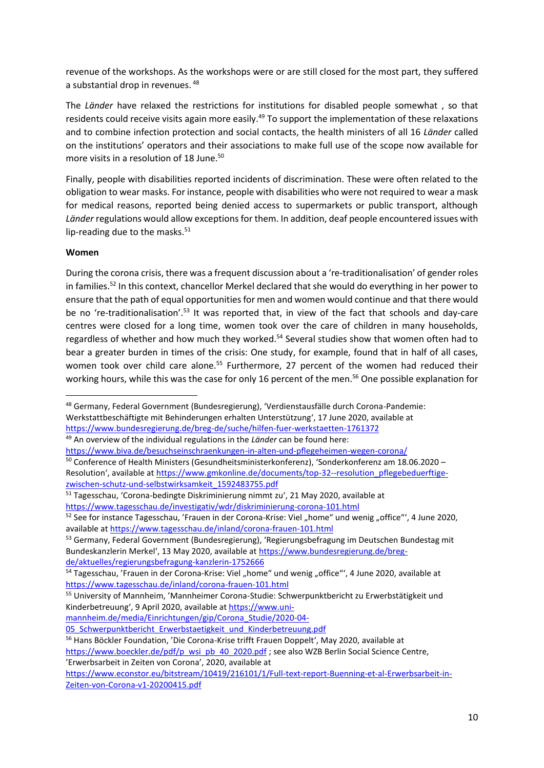revenue of the workshops. As the workshops were or are still closed for the most part, they suffered a substantial drop in revenues. <sup>48</sup>

The *Länder* have relaxed the restrictions for institutions for disabled people somewhat , so that residents could receive visits again more easily.<sup>49</sup> To support the implementation of these relaxations and to combine infection protection and social contacts, the health ministers of all 16 *Länder* called on the institutions' operators and their associations to make full use of the scope now available for more visits in a resolution of 18 June. 50

Finally, people with disabilities reported incidents of discrimination. These were often related to the obligation to wear masks. For instance, people with disabilities who were not required to wear a mask for medical reasons, reported being denied access to supermarkets or public transport, although *Länder* regulations would allow exceptions for them. In addition, deaf people encountered issues with lip-reading due to the masks. $51$ 

#### **Women**

**.** 

During the corona crisis, there was a frequent discussion about a 're-traditionalisation' of gender roles in families.<sup>52</sup> In this context, chancellor Merkel declared that she would do everything in her power to ensure that the path of equal opportunities for men and women would continue and that there would be no 're-traditionalisation'.<sup>53</sup> It was reported that, in view of the fact that schools and day-care centres were closed for a long time, women took over the care of children in many households, regardless of whether and how much they worked.<sup>54</sup> Several studies show that women often had to bear a greater burden in times of the crisis: One study, for example, found that in half of all cases, women took over child care alone.<sup>55</sup> Furthermore, 27 percent of the women had reduced their working hours, while this was the case for only 16 percent of the men.<sup>56</sup> One possible explanation for

<sup>55</sup> University of Mannheim, 'Mannheimer Corona-Studie: Schwerpunktbericht zu Erwerbstätigkeit und Kinderbetreuung', 9 April 2020, available a[t https://www.uni-](https://www.uni-mannheim.de/media/Einrichtungen/gip/Corona_Studie/2020-04-05_Schwerpunktbericht_Erwerbstaetigkeit_und_Kinderbetreuung.pdf)

[mannheim.de/media/Einrichtungen/gip/Corona\\_Studie/2020-04-](https://www.uni-mannheim.de/media/Einrichtungen/gip/Corona_Studie/2020-04-05_Schwerpunktbericht_Erwerbstaetigkeit_und_Kinderbetreuung.pdf)

<sup>48</sup> Germany, Federal Government (Bundesregierung), 'Verdienstausfälle durch Corona-Pandemie: Werkstattbeschäftigte mit Behinderungen erhalten Unterstützung', 17 June 2020, available at <https://www.bundesregierung.de/breg-de/suche/hilfen-fuer-werkstaetten-1761372>

<sup>49</sup> An overview of the individual regulations in the *Länder* can be found here:

<https://www.biva.de/besuchseinschraenkungen-in-alten-und-pflegeheimen-wegen-corona/>

<sup>&</sup>lt;sup>50</sup> Conference of Health Ministers (Gesundheitsministerkonferenz), 'Sonderkonferenz am 18.06.2020 – Resolution', available at [https://www.gmkonline.de/documents/top-32--resolution\\_pflegebeduerftige](https://www.gmkonline.de/documents/top-32--resolution_pflegebeduerftige-zwischen-schutz-und-selbstwirksamkeit_1592483755.pdf)[zwischen-schutz-und-selbstwirksamkeit\\_1592483755.pdf](https://www.gmkonline.de/documents/top-32--resolution_pflegebeduerftige-zwischen-schutz-und-selbstwirksamkeit_1592483755.pdf)

<sup>&</sup>lt;sup>51</sup> Tagesschau, 'Corona-bedingte Diskriminierung nimmt zu', 21 May 2020, available at <https://www.tagesschau.de/investigativ/wdr/diskriminierung-corona-101.html>

<sup>&</sup>lt;sup>52</sup> See for instance Tagesschau, 'Frauen in der Corona-Krise: Viel "home" und wenig "office"', 4 June 2020, available a[t https://www.tagesschau.de/inland/corona-frauen-101.html](https://www.tagesschau.de/inland/corona-frauen-101.html)

<sup>53</sup> Germany, Federal Government (Bundesregierung), 'Regierungsbefragung im Deutschen Bundestag mit Bundeskanzlerin Merkel', 13 May 2020, available at [https://www.bundesregierung.de/breg](https://www.bundesregierung.de/breg-de/aktuelles/regierungsbefragung-kanzlerin-1752666)[de/aktuelles/regierungsbefragung-kanzlerin-1752666](https://www.bundesregierung.de/breg-de/aktuelles/regierungsbefragung-kanzlerin-1752666)

<sup>54</sup> Tagesschau, 'Frauen in der Corona-Krise: Viel "home" und wenig "office"', 4 June 2020, available at <https://www.tagesschau.de/inland/corona-frauen-101.html>

<sup>05</sup> Schwerpunktbericht Erwerbstaetigkeit und Kinderbetreuung.pdf

<sup>56</sup> Hans Böckler Foundation, 'Die Corona-Krise trifft Frauen Doppelt', May 2020, available at [https://www.boeckler.de/pdf/p\\_wsi\\_pb\\_40\\_2020.pdf](https://www.boeckler.de/pdf/p_wsi_pb_40_2020.pdf); see also WZB Berlin Social Science Centre,

<sup>&#</sup>x27;Erwerbsarbeit in Zeiten von Corona', 2020, available at

[https://www.econstor.eu/bitstream/10419/216101/1/Full-text-report-Buenning-et-al-Erwerbsarbeit-in-](https://www.econstor.eu/bitstream/10419/216101/1/Full-text-report-Buenning-et-al-Erwerbsarbeit-in-Zeiten-von-Corona-v1-20200415.pdf)[Zeiten-von-Corona-v1-20200415.pdf](https://www.econstor.eu/bitstream/10419/216101/1/Full-text-report-Buenning-et-al-Erwerbsarbeit-in-Zeiten-von-Corona-v1-20200415.pdf)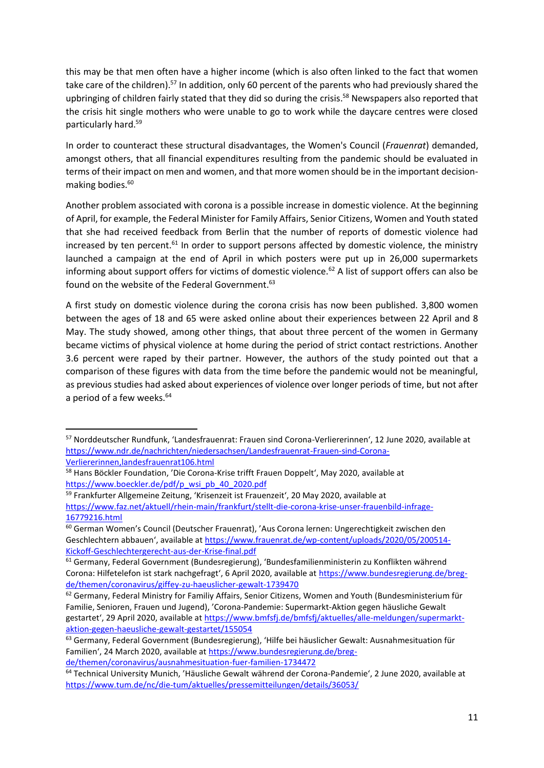this may be that men often have a higher income (which is also often linked to the fact that women take care of the children).<sup>57</sup> In addition, only 60 percent of the parents who had previously shared the upbringing of children fairly stated that they did so during the crisis. <sup>58</sup> Newspapers also reported that the crisis hit single mothers who were unable to go to work while the daycare centres were closed particularly hard.<sup>59</sup>

In order to counteract these structural disadvantages, the Women's Council (*Frauenrat*) demanded, amongst others, that all financial expenditures resulting from the pandemic should be evaluated in terms of their impact on men and women, and that more women should be in the important decisionmaking bodies.<sup>60</sup>

Another problem associated with corona is a possible increase in domestic violence. At the beginning of April, for example, the Federal Minister for Family Affairs, Senior Citizens, Women and Youth stated that she had received feedback from Berlin that the number of reports of domestic violence had increased by ten percent.<sup>61</sup> In order to support persons affected by domestic violence, the ministry launched a campaign at the end of April in which posters were put up in 26,000 supermarkets informing about support offers for victims of domestic violence.<sup>62</sup> A list of support offers can also be found on the website of the Federal Government.<sup>63</sup>

A first study on domestic violence during the corona crisis has now been published. 3,800 women between the ages of 18 and 65 were asked online about their experiences between 22 April and 8 May. The study showed, among other things, that about three percent of the women in Germany became victims of physical violence at home during the period of strict contact restrictions. Another 3.6 percent were raped by their partner. However, the authors of the study pointed out that a comparison of these figures with data from the time before the pandemic would not be meaningful, as previous studies had asked about experiences of violence over longer periods of time, but not after a period of a few weeks.<sup>64</sup>

**.** 

<sup>57</sup> Norddeutscher Rundfunk, 'Landesfrauenrat: Frauen sind Corona-Verliererinnen', 12 June 2020, available at [https://www.ndr.de/nachrichten/niedersachsen/Landesfrauenrat-Frauen-sind-Corona-](https://www.ndr.de/nachrichten/niedersachsen/Landesfrauenrat-Frauen-sind-Corona-Verliererinnen,landesfrauenrat106.html)[Verliererinnen,landesfrauenrat106.html](https://www.ndr.de/nachrichten/niedersachsen/Landesfrauenrat-Frauen-sind-Corona-Verliererinnen,landesfrauenrat106.html)

<sup>58</sup> Hans Böckler Foundation, 'Die Corona-Krise trifft Frauen Doppelt', May 2020, available at [https://www.boeckler.de/pdf/p\\_wsi\\_pb\\_40\\_2020.pdf](https://www.boeckler.de/pdf/p_wsi_pb_40_2020.pdf)

<sup>59</sup> Frankfurter Allgemeine Zeitung, 'Krisenzeit ist Frauenzeit', 20 May 2020, available at [https://www.faz.net/aktuell/rhein-main/frankfurt/stellt-die-corona-krise-unser-frauenbild-infrage-](https://www.faz.net/aktuell/rhein-main/frankfurt/stellt-die-corona-krise-unser-frauenbild-infrage-16779216.html)[16779216.html](https://www.faz.net/aktuell/rhein-main/frankfurt/stellt-die-corona-krise-unser-frauenbild-infrage-16779216.html)

<sup>60</sup> German Women's Council (Deutscher Frauenrat), 'Aus Corona lernen: Ungerechtigkeit zwischen den Geschlechtern abbauen', available at [https://www.frauenrat.de/wp-content/uploads/2020/05/200514-](https://www.frauenrat.de/wp-content/uploads/2020/05/200514-Kickoff-Geschlechtergerecht-aus-der-Krise-final.pdf) [Kickoff-Geschlechtergerecht-aus-der-Krise-final.pdf](https://www.frauenrat.de/wp-content/uploads/2020/05/200514-Kickoff-Geschlechtergerecht-aus-der-Krise-final.pdf)

<sup>61</sup> Germany, Federal Government (Bundesregierung), 'Bundesfamilienministerin zu Konflikten während Corona: Hilfetelefon ist stark nachgefragt', 6 April 2020, available at [https://www.bundesregierung.de/breg](https://www.bundesregierung.de/breg-de/themen/coronavirus/giffey-zu-haeuslicher-gewalt-1739470)[de/themen/coronavirus/giffey-zu-haeuslicher-gewalt-1739470](https://www.bundesregierung.de/breg-de/themen/coronavirus/giffey-zu-haeuslicher-gewalt-1739470)

 $62$  Germany, Federal Ministry for Familiy Affairs, Senior Citizens, Women and Youth (Bundesministerium für Familie, Senioren, Frauen und Jugend), 'Corona-Pandemie: Supermarkt-Aktion gegen häusliche Gewalt gestartet', 29 April 2020, available at [https://www.bmfsfj.de/bmfsfj/aktuelles/alle-meldungen/supermarkt](https://www.bmfsfj.de/bmfsfj/aktuelles/alle-meldungen/supermarkt-aktion-gegen-haeusliche-gewalt-gestartet/155054)[aktion-gegen-haeusliche-gewalt-gestartet/155054](https://www.bmfsfj.de/bmfsfj/aktuelles/alle-meldungen/supermarkt-aktion-gegen-haeusliche-gewalt-gestartet/155054)

<sup>&</sup>lt;sup>63</sup> Germany, Federal Government (Bundesregierung), 'Hilfe bei häuslicher Gewalt: Ausnahmesituation für Familien', 24 March 2020, available at [https://www.bundesregierung.de/breg](https://www.bundesregierung.de/breg-de/themen/coronavirus/ausnahmesituation-fuer-familien-1734472)[de/themen/coronavirus/ausnahmesituation-fuer-familien-1734472](https://www.bundesregierung.de/breg-de/themen/coronavirus/ausnahmesituation-fuer-familien-1734472)

<sup>64</sup> Technical University Munich, 'Häusliche Gewalt während der Corona-Pandemie', 2 June 2020, available at <https://www.tum.de/nc/die-tum/aktuelles/pressemitteilungen/details/36053/>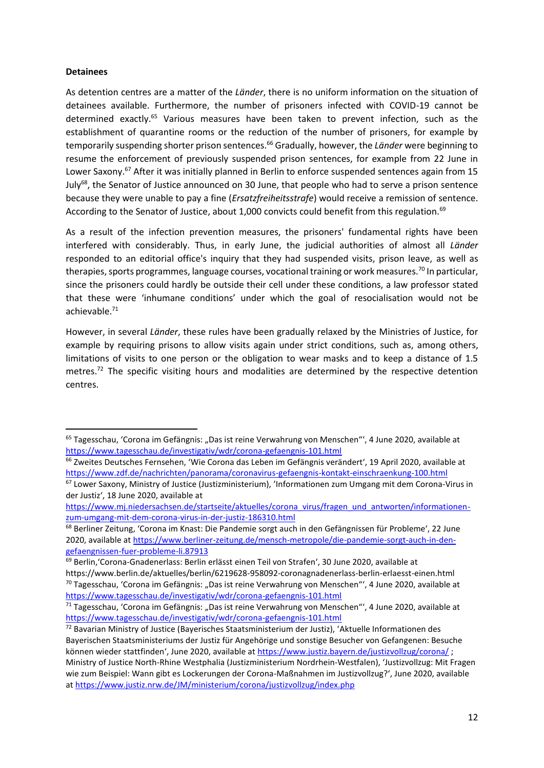#### **Detainees**

**.** 

As detention centres are a matter of the *Länder*, there is no uniform information on the situation of detainees available. Furthermore, the number of prisoners infected with COVID-19 cannot be determined exactly.<sup>65</sup> Various measures have been taken to prevent infection, such as the establishment of quarantine rooms or the reduction of the number of prisoners, for example by temporarily suspending shorter prison sentences.<sup>66</sup> Gradually, however, the *Länder* were beginning to resume the enforcement of previously suspended prison sentences, for example from 22 June in Lower Saxony.<sup>67</sup> After it was initially planned in Berlin to enforce suspended sentences again from 15 July<sup>68</sup>, the Senator of Justice announced on 30 June, that people who had to serve a prison sentence because they were unable to pay a fine (*Ersatzfreiheitsstrafe*) would receive a remission of sentence. According to the Senator of Justice, about 1,000 convicts could benefit from this regulation.<sup>69</sup>

As a result of the infection prevention measures, the prisoners' fundamental rights have been interfered with considerably. Thus, in early June, the judicial authorities of almost all *Länder* responded to an editorial office's inquiry that they had suspended visits, prison leave, as well as therapies, sports programmes, language courses, vocational training or work measures.<sup>70</sup> In particular, since the prisoners could hardly be outside their cell under these conditions, a law professor stated that these were 'inhumane conditions' under which the goal of resocialisation would not be achievable. 71

However, in several *Länder*, these rules have been gradually relaxed by the Ministries of Justice, for example by requiring prisons to allow visits again under strict conditions, such as, among others, limitations of visits to one person or the obligation to wear masks and to keep a distance of 1.5 metres.<sup>72</sup> The specific visiting hours and modalities are determined by the respective detention centres.

<sup>&</sup>lt;sup>65</sup> Tagesschau, 'Corona im Gefängnis: "Das ist reine Verwahrung von Menschen"', 4 June 2020, available at <https://www.tagesschau.de/investigativ/wdr/corona-gefaengnis-101.html>

<sup>&</sup>lt;sup>66</sup> Zweites Deutsches Fernsehen, 'Wie Corona das Leben im Gefängnis verändert', 19 April 2020, available at <https://www.zdf.de/nachrichten/panorama/coronavirus-gefaengnis-kontakt-einschraenkung-100.html>

<sup>67</sup> Lower Saxony, Ministry of Justice (Justizministerium), 'Informationen zum Umgang mit dem Corona-Virus in der Justiz', 18 June 2020, available at

[https://www.mj.niedersachsen.de/startseite/aktuelles/corona\\_virus/fragen\\_und\\_antworten/informationen](https://www.mj.niedersachsen.de/startseite/aktuelles/corona_virus/fragen_und_antworten/informationen-zum-umgang-mit-dem-corona-virus-in-der-justiz-186310.html)[zum-umgang-mit-dem-corona-virus-in-der-justiz-186310.html](https://www.mj.niedersachsen.de/startseite/aktuelles/corona_virus/fragen_und_antworten/informationen-zum-umgang-mit-dem-corona-virus-in-der-justiz-186310.html)

<sup>68</sup> Berliner Zeitung, 'Corona im Knast: Die Pandemie sorgt auch in den Gefängnissen für Probleme', 22 June 2020, available a[t https://www.berliner-zeitung.de/mensch-metropole/die-pandemie-sorgt-auch-in-den](https://www.berliner-zeitung.de/mensch-metropole/die-pandemie-sorgt-auch-in-den-gefaengnissen-fuer-probleme-li.87913)[gefaengnissen-fuer-probleme-li.87913](https://www.berliner-zeitung.de/mensch-metropole/die-pandemie-sorgt-auch-in-den-gefaengnissen-fuer-probleme-li.87913)

<sup>69</sup> Berlin,'Corona-Gnadenerlass: Berlin erlässt einen Teil von Strafen', 30 June 2020, available at https://www.berlin.de/aktuelles/berlin/6219628-958092-coronagnadenerlass-berlin-erlaesst-einen.html

 $70$  Tagesschau, 'Corona im Gefängnis: "Das ist reine Verwahrung von Menschen"', 4 June 2020, available at <https://www.tagesschau.de/investigativ/wdr/corona-gefaengnis-101.html>

<sup>71</sup> Tagesschau, 'Corona im Gefängnis: "Das ist reine Verwahrung von Menschen"', 4 June 2020, available at <https://www.tagesschau.de/investigativ/wdr/corona-gefaengnis-101.html>

<sup>72</sup> Bavarian Ministry of Justice (Bayerisches Staatsministerium der Justiz), 'Aktuelle Informationen des Bayerischen Staatsministeriums der Justiz für Angehörige und sonstige Besucher von Gefangenen: Besuche können wieder stattfinden', June 2020, available at <https://www.justiz.bayern.de/justizvollzug/corona/>; Ministry of Justice North-Rhine Westphalia (Justizministerium Nordrhein-Westfalen), 'Justizvollzug: Mit Fragen wie zum Beispiel: Wann gibt es Lockerungen der Corona-Maßnahmen im Justizvollzug?', June 2020, available a[t https://www.justiz.nrw.de/JM/ministerium/corona/justizvollzug/index.php](https://www.justiz.nrw.de/JM/ministerium/corona/justizvollzug/index.php)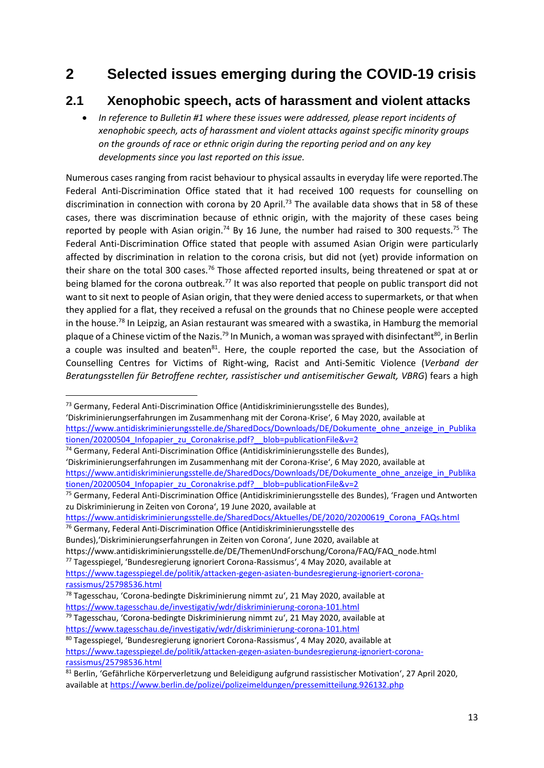## **2 Selected issues emerging during the COVID-19 crisis**

## **2.1 Xenophobic speech, acts of harassment and violent attacks**

 *In reference to Bulletin #1 where these issues were addressed, please report incidents of xenophobic speech, acts of harassment and violent attacks against specific minority groups on the grounds of race or ethnic origin during the reporting period and on any key developments since you last reported on this issue.*

Numerous cases ranging from racist behaviour to physical assaults in everyday life were reported.The Federal Anti-Discrimination Office stated that it had received 100 requests for counselling on discrimination in connection with corona by 20 April.<sup>73</sup> The available data shows that in 58 of these cases, there was discrimination because of ethnic origin, with the majority of these cases being reported by people with Asian origin.<sup>74</sup> By 16 June, the number had raised to 300 requests.<sup>75</sup> The Federal Anti-Discrimination Office stated that people with assumed Asian Origin were particularly affected by discrimination in relation to the corona crisis, but did not (yet) provide information on their share on the total 300 cases.<sup>76</sup> Those affected reported insults, being threatened or spat at or being blamed for the corona outbreak.<sup>77</sup> It was also reported that people on public transport did not want to sit next to people of Asian origin, that they were denied access to supermarkets, or that when they applied for a flat, they received a refusal on the grounds that no Chinese people were accepted in the house.<sup>78</sup> In Leipzig, an Asian restaurant was smeared with a swastika, in Hamburg the memorial plaque of a Chinese victim of the Nazis.<sup>79</sup> In Munich, a woman was sprayed with disinfectant<sup>80</sup>, in Berlin a couple was insulted and beaten<sup>81</sup>. Here, the couple reported the case, but the Association of Counselling Centres for Victims of Right-wing, Racist and Anti-Semitic Violence (*Verband der Beratungsstellen für Betroffene rechter, rassistischer und antisemitischer Gewalt, VBRG*) fears a high

**.** 

'Diskriminierungserfahrungen im Zusammenhang mit der Corona-Krise', 6 May 2020, available at [https://www.antidiskriminierungsstelle.de/SharedDocs/Downloads/DE/Dokumente\\_ohne\\_anzeige\\_in\\_Publika](https://www.antidiskriminierungsstelle.de/SharedDocs/Downloads/DE/Dokumente_ohne_anzeige_in_Publikationen/20200504_Infopapier_zu_Coronakrise.pdf?__blob=publicationFile&v=2) tionen/20200504 Infopapier\_zu\_Coronakrise.pdf? blob=publicationFile&v=2

[https://www.antidiskriminierungsstelle.de/SharedDocs/Aktuelles/DE/2020/20200619\\_Corona\\_FAQs.html](https://www.antidiskriminierungsstelle.de/SharedDocs/Aktuelles/DE/2020/20200619_Corona_FAQs.html)

<sup>76</sup> Germany, Federal Anti-Discrimination Office (Antidiskriminierungsstelle des

Bundes),'Diskriminierungserfahrungen in Zeiten von Corona', June 2020, available at

https://www.antidiskriminierungsstelle.de/DE/ThemenUndForschung/Corona/FAQ/FAQ\_node.html <sup>77</sup> Tagesspiegel, 'Bundesregierung ignoriert Corona-Rassismus', 4 May 2020, available at

<sup>79</sup> Tagesschau, 'Corona-bedingte Diskriminierung nimmt zu', 21 May 2020, available at <https://www.tagesschau.de/investigativ/wdr/diskriminierung-corona-101.html>

<sup>73</sup> Germany, Federal Anti-Discrimination Office (Antidiskriminierungsstelle des Bundes),

<sup>74</sup> Germany, Federal Anti-Discrimination Office (Antidiskriminierungsstelle des Bundes), 'Diskriminierungserfahrungen im Zusammenhang mit der Corona-Krise', 6 May 2020, available at [https://www.antidiskriminierungsstelle.de/SharedDocs/Downloads/DE/Dokumente\\_ohne\\_anzeige\\_in\\_Publika](https://www.antidiskriminierungsstelle.de/SharedDocs/Downloads/DE/Dokumente_ohne_anzeige_in_Publikationen/20200504_Infopapier_zu_Coronakrise.pdf?__blob=publicationFile&v=2) tionen/20200504 Infopapier zu Coronakrise.pdf? blob=publicationFile&v=2

<sup>75</sup> Germany, Federal Anti-Discrimination Office (Antidiskriminierungsstelle des Bundes), 'Fragen und Antworten zu Diskriminierung in Zeiten von Corona', 19 June 2020, available at

[https://www.tagesspiegel.de/politik/attacken-gegen-asiaten-bundesregierung-ignoriert-corona](https://www.tagesspiegel.de/politik/attacken-gegen-asiaten-bundesregierung-ignoriert-corona-rassismus/25798536.html)[rassismus/25798536.html](https://www.tagesspiegel.de/politik/attacken-gegen-asiaten-bundesregierung-ignoriert-corona-rassismus/25798536.html)

<sup>78</sup> Tagesschau, 'Corona-bedingte Diskriminierung nimmt zu', 21 May 2020, available at

<https://www.tagesschau.de/investigativ/wdr/diskriminierung-corona-101.html>

<sup>80</sup> Tagesspiegel, 'Bundesregierung ignoriert Corona-Rassismus', 4 May 2020, available at [https://www.tagesspiegel.de/politik/attacken-gegen-asiaten-bundesregierung-ignoriert-corona](https://www.tagesspiegel.de/politik/attacken-gegen-asiaten-bundesregierung-ignoriert-corona-rassismus/25798536.html)[rassismus/25798536.html](https://www.tagesspiegel.de/politik/attacken-gegen-asiaten-bundesregierung-ignoriert-corona-rassismus/25798536.html)

<sup>81</sup> Berlin, 'Gefährliche Körperverletzung und Beleidigung aufgrund rassistischer Motivation', 27 April 2020, available a[t https://www.berlin.de/polizei/polizeimeldungen/pressemitteilung.926132.php](https://www.berlin.de/polizei/polizeimeldungen/pressemitteilung.926132.php)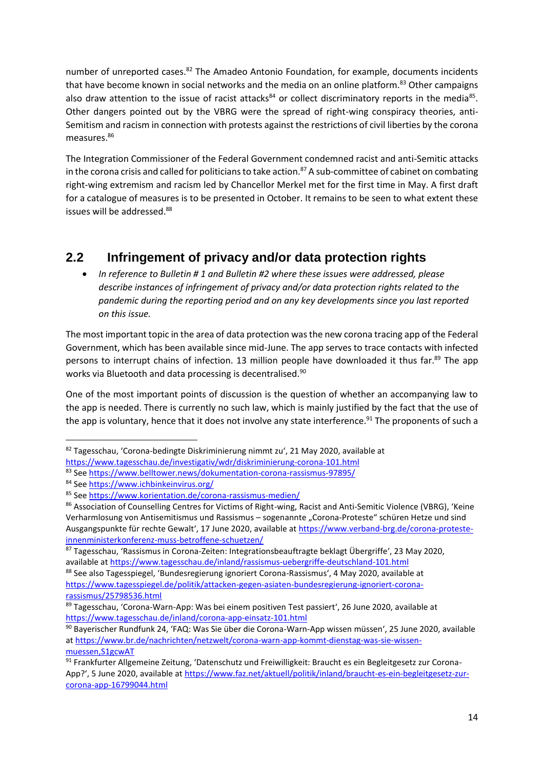number of unreported cases.<sup>82</sup> The Amadeo Antonio Foundation, for example, documents incidents that have become known in social networks and the media on an online platform.<sup>83</sup> Other campaigns also draw attention to the issue of racist attacks<sup>84</sup> or collect discriminatory reports in the media<sup>85</sup>. Other dangers pointed out by the VBRG were the spread of right-wing conspiracy theories, anti-Semitism and racism in connection with protests against the restrictions of civil liberties by the corona measures.<sup>86</sup>

The Integration Commissioner of the Federal Government condemned racist and anti-Semitic attacks in the corona crisis and called for politicians to take action.<sup>87</sup> A sub-committee of cabinet on combating right-wing extremism and racism led by Chancellor Merkel met for the first time in May. A first draft for a catalogue of measures is to be presented in October. It remains to be seen to what extent these issues will be addressed.<sup>88</sup>

## **2.2 Infringement of privacy and/or data protection rights**

 *In reference to Bulletin # 1 and Bulletin #2 where these issues were addressed, please describe instances of infringement of privacy and/or data protection rights related to the pandemic during the reporting period and on any key developments since you last reported on this issue.*

The most important topic in the area of data protection was the new corona tracing app of the Federal Government, which has been available since mid-June. The app serves to trace contacts with infected persons to interrupt chains of infection. 13 million people have downloaded it thus far.<sup>89</sup> The app works via Bluetooth and data processing is decentralised.<sup>90</sup>

One of the most important points of discussion is the question of whether an accompanying law to the app is needed. There is currently no such law, which is mainly justified by the fact that the use of the app is voluntary, hence that it does not involve any state interference.<sup>91</sup> The proponents of such a

1

<sup>82</sup> Tagesschau, 'Corona-bedingte Diskriminierung nimmt zu', 21 May 2020, available at

<https://www.tagesschau.de/investigativ/wdr/diskriminierung-corona-101.html>

<sup>83</sup> Se[e https://www.belltower.news/dokumentation-corona-rassismus-97895/](https://www.belltower.news/dokumentation-corona-rassismus-97895/)

<sup>84</sup> Se[e https://www.ichbinkeinvirus.org/](https://www.ichbinkeinvirus.org/)

<sup>85</sup> Se[e https://www.korientation.de/corona-rassismus-medien/](https://www.korientation.de/corona-rassismus-medien/)

<sup>86</sup> Association of Counselling Centres for Victims of Right-wing, Racist and Anti-Semitic Violence (VBRG), 'Keine Verharmlosung von Antisemitismus und Rassismus - sogenannte "Corona-Proteste" schüren Hetze und sind Ausgangspunkte für rechte Gewalt', 17 June 2020, available at [https://www.verband-brg.de/corona-proteste](https://www.verband-brg.de/corona-proteste-innenministerkonferenz-muss-betroffene-schuetzen/)[innenministerkonferenz-muss-betroffene-schuetzen/](https://www.verband-brg.de/corona-proteste-innenministerkonferenz-muss-betroffene-schuetzen/)

<sup>87</sup> Tagesschau, 'Rassismus in Corona-Zeiten: Integrationsbeauftragte beklagt Übergriffe', 23 May 2020, available a[t https://www.tagesschau.de/inland/rassismus-uebergriffe-deutschland-101.html](https://www.tagesschau.de/inland/rassismus-uebergriffe-deutschland-101.html)

<sup>88</sup> See also Tagesspiegel, 'Bundesregierung ignoriert Corona-Rassismus', 4 May 2020, available at [https://www.tagesspiegel.de/politik/attacken-gegen-asiaten-bundesregierung-ignoriert-corona](https://www.tagesspiegel.de/politik/attacken-gegen-asiaten-bundesregierung-ignoriert-corona-rassismus/25798536.html)[rassismus/25798536.html](https://www.tagesspiegel.de/politik/attacken-gegen-asiaten-bundesregierung-ignoriert-corona-rassismus/25798536.html)

<sup>89</sup> Tagesschau, 'Corona-Warn-App: Was bei einem positiven Test passiert', 26 June 2020, available at <https://www.tagesschau.de/inland/corona-app-einsatz-101.html>

<sup>90</sup> Bayerischer Rundfunk 24, 'FAQ: Was Sie über die Corona-Warn-App wissen müssen', 25 June 2020, available a[t https://www.br.de/nachrichten/netzwelt/corona-warn-app-kommt-dienstag-was-sie-wissen](https://www.br.de/nachrichten/netzwelt/corona-warn-app-kommt-dienstag-was-sie-wissen-muessen,S1gcwAT)[muessen,S1gcwAT](https://www.br.de/nachrichten/netzwelt/corona-warn-app-kommt-dienstag-was-sie-wissen-muessen,S1gcwAT)

<sup>91</sup> Frankfurter Allgemeine Zeitung, 'Datenschutz und Freiwilligkeit: Braucht es ein Begleitgesetz zur Corona-App?', 5 June 2020, available at [https://www.faz.net/aktuell/politik/inland/braucht-es-ein-begleitgesetz-zur](https://www.faz.net/aktuell/politik/inland/braucht-es-ein-begleitgesetz-zur-corona-app-16799044.html)[corona-app-16799044.html](https://www.faz.net/aktuell/politik/inland/braucht-es-ein-begleitgesetz-zur-corona-app-16799044.html)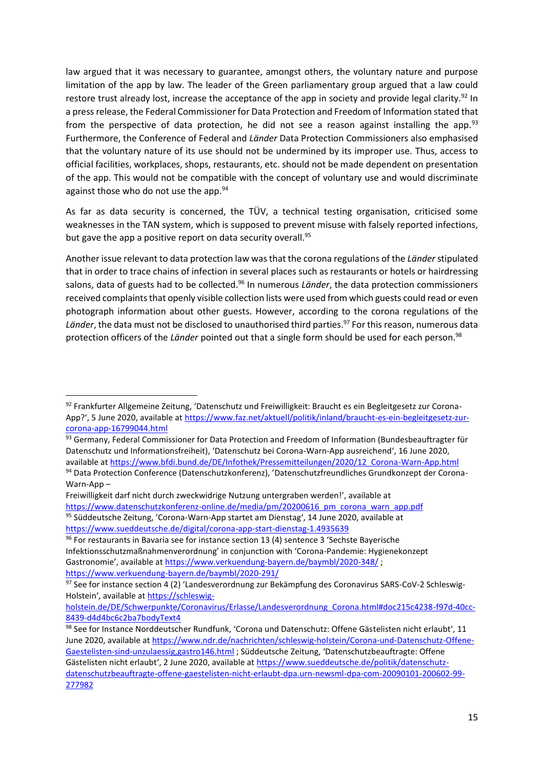law argued that it was necessary to guarantee, amongst others, the voluntary nature and purpose limitation of the app by law. The leader of the Green parliamentary group argued that a law could restore trust already lost, increase the acceptance of the app in society and provide legal clarity.<sup>92</sup> In a press release, the Federal Commissioner for Data Protection and Freedom of Information stated that from the perspective of data protection, he did not see a reason against installing the app.<sup>93</sup> Furthermore, the Conference of Federal and *Länder* Data Protection Commissioners also emphasised that the voluntary nature of its use should not be undermined by its improper use. Thus, access to official facilities, workplaces, shops, restaurants, etc. should not be made dependent on presentation of the app. This would not be compatible with the concept of voluntary use and would discriminate against those who do not use the app.<sup>94</sup>

As far as data security is concerned, the TÜV, a technical testing organisation, criticised some weaknesses in the TAN system, which is supposed to prevent misuse with falsely reported infections, but gave the app a positive report on data security overall.<sup>95</sup>

Another issue relevant to data protection law was that the corona regulations of the *Länder* stipulated that in order to trace chains of infection in several places such as restaurants or hotels or hairdressing salons, data of guests had to be collected.<sup>96</sup> In numerous *Länder*, the data protection commissioners received complaints that openly visible collection lists were used from which guests could read or even photograph information about other guests. However, according to the corona regulations of the Länder, the data must not be disclosed to unauthorised third parties.<sup>97</sup> For this reason, numerous data protection officers of the *Länder* pointed out that a single form should be used for each person.<sup>98</sup>

**.** 

<sup>92</sup> Frankfurter Allgemeine Zeitung, 'Datenschutz und Freiwilligkeit: Braucht es ein Begleitgesetz zur Corona-App?', 5 June 2020, available at [https://www.faz.net/aktuell/politik/inland/braucht-es-ein-begleitgesetz-zur](https://www.faz.net/aktuell/politik/inland/braucht-es-ein-begleitgesetz-zur-corona-app-16799044.html)[corona-app-16799044.html](https://www.faz.net/aktuell/politik/inland/braucht-es-ein-begleitgesetz-zur-corona-app-16799044.html)

<sup>93</sup> Germany, Federal Commissioner for Data Protection and Freedom of Information (Bundesbeauftragter für Datenschutz und Informationsfreiheit), 'Datenschutz bei Corona-Warn-App ausreichend', 16 June 2020, available a[t https://www.bfdi.bund.de/DE/Infothek/Pressemitteilungen/2020/12\\_Corona-Warn-App.html](https://www.bfdi.bund.de/DE/Infothek/Pressemitteilungen/2020/12_Corona-Warn-App.html)

<sup>94</sup> Data Protection Conference (Datenschutzkonferenz), 'Datenschutzfreundliches Grundkonzept der Corona-Warn-App –

Freiwilligkeit darf nicht durch zweckwidrige Nutzung untergraben werden!', available at [https://www.datenschutzkonferenz-online.de/media/pm/20200616\\_pm\\_corona\\_warn\\_app.pdf](https://www.datenschutzkonferenz-online.de/media/pm/20200616_pm_corona_warn_app.pdf) 95 Süddeutsche Zeitung, 'Corona-Warn-App startet am Dienstag', 14 June 2020, available at <https://www.sueddeutsche.de/digital/corona-app-start-dienstag-1.4935639>

<sup>96</sup> For restaurants in Bavaria see for instance section 13 (4) sentence 3 'Sechste Bayerische Infektionsschutzmaßnahmenverordnung' in conjunction with 'Corona-Pandemie: Hygienekonzept Gastronomie', available at <https://www.verkuendung-bayern.de/baymbl/2020-348/>; <https://www.verkuendung-bayern.de/baymbl/2020-291/>

<sup>97</sup> See for instance section 4 (2) 'Landesverordnung zur Bekämpfung des Coronavirus SARS-CoV-2 Schleswig-Holstein', available at [https://schleswig-](https://schleswig-holstein.de/DE/Schwerpunkte/Coronavirus/Erlasse/Landesverordnung_Corona.html#doc215c4238-f97d-40cc-8439-d4d4bc6c2ba7bodyText4)

[holstein.de/DE/Schwerpunkte/Coronavirus/Erlasse/Landesverordnung\\_Corona.html#doc215c4238-f97d-40cc-](https://schleswig-holstein.de/DE/Schwerpunkte/Coronavirus/Erlasse/Landesverordnung_Corona.html#doc215c4238-f97d-40cc-8439-d4d4bc6c2ba7bodyText4)[8439-d4d4bc6c2ba7bodyText4](https://schleswig-holstein.de/DE/Schwerpunkte/Coronavirus/Erlasse/Landesverordnung_Corona.html#doc215c4238-f97d-40cc-8439-d4d4bc6c2ba7bodyText4)

<sup>98</sup> See for Instance Norddeutscher Rundfunk, 'Corona und Datenschutz: Offene Gästelisten nicht erlaubt', 11 June 2020, available a[t https://www.ndr.de/nachrichten/schleswig-holstein/Corona-und-Datenschutz-Offene-](https://www.ndr.de/nachrichten/schleswig-holstein/Corona-und-Datenschutz-Offene-Gaestelisten-sind-unzulaessig,gastro146.html)[Gaestelisten-sind-unzulaessig,gastro146.html](https://www.ndr.de/nachrichten/schleswig-holstein/Corona-und-Datenschutz-Offene-Gaestelisten-sind-unzulaessig,gastro146.html); Süddeutsche Zeitung, 'Datenschutzbeauftragte: Offene Gästelisten nicht erlaubt', 2 June 2020, available at [https://www.sueddeutsche.de/politik/datenschutz](https://www.sueddeutsche.de/politik/datenschutz-datenschutzbeauftragte-offene-gaestelisten-nicht-erlaubt-dpa.urn-newsml-dpa-com-20090101-200602-99-277982)[datenschutzbeauftragte-offene-gaestelisten-nicht-erlaubt-dpa.urn-newsml-dpa-com-20090101-200602-99-](https://www.sueddeutsche.de/politik/datenschutz-datenschutzbeauftragte-offene-gaestelisten-nicht-erlaubt-dpa.urn-newsml-dpa-com-20090101-200602-99-277982) [277982](https://www.sueddeutsche.de/politik/datenschutz-datenschutzbeauftragte-offene-gaestelisten-nicht-erlaubt-dpa.urn-newsml-dpa-com-20090101-200602-99-277982)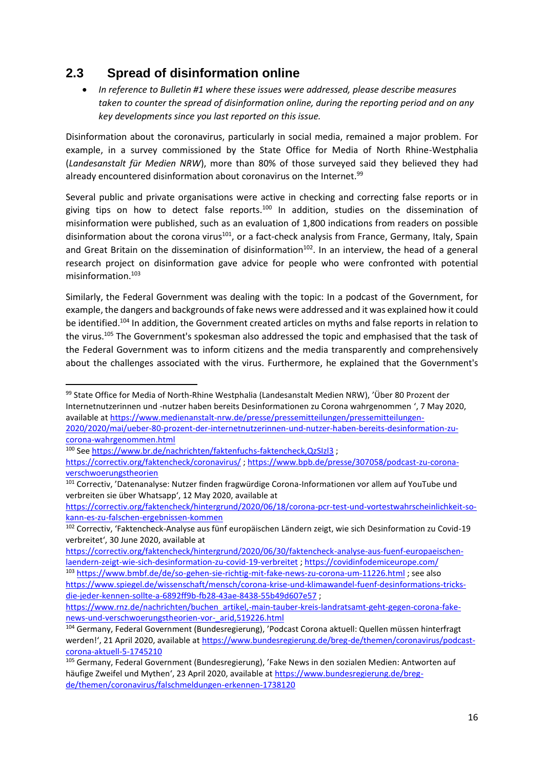## **2.3 Spread of disinformation online**

 *In reference to Bulletin #1 where these issues were addressed, please describe measures taken to counter the spread of disinformation online, during the reporting period and on any key developments since you last reported on this issue.*

Disinformation about the coronavirus, particularly in social media, remained a major problem. For example, in a survey commissioned by the State Office for Media of North Rhine-Westphalia (*Landesanstalt für Medien NRW*), more than 80% of those surveyed said they believed they had already encountered disinformation about coronavirus on the Internet.<sup>99</sup>

Several public and private organisations were active in checking and correcting false reports or in giving tips on how to detect false reports.<sup>100</sup> In addition, studies on the dissemination of misinformation were published, such as an evaluation of 1,800 indications from readers on possible disinformation about the corona virus<sup>101</sup>, or a fact-check analysis from France, Germany, Italy, Spain and Great Britain on the dissemination of disinformation<sup>102</sup>. In an interview, the head of a general research project on disinformation gave advice for people who were confronted with potential misinformation.<sup>103</sup>

Similarly, the Federal Government was dealing with the topic: In a podcast of the Government, for example, the dangers and backgrounds of fake news were addressed and it was explained how it could be identified.<sup>104</sup> In addition, the Government created articles on myths and false reports in relation to the virus.<sup>105</sup> The Government's spokesman also addressed the topic and emphasised that the task of the Federal Government was to inform citizens and the media transparently and comprehensively about the challenges associated with the virus. Furthermore, he explained that the Government's

1

<sup>99</sup> State Office for Media of North-Rhine Westphalia (Landesanstalt Medien NRW), 'Über 80 Prozent der Internetnutzerinnen und -nutzer haben bereits Desinformationen zu Corona wahrgenommen ', 7 May 2020, available a[t https://www.medienanstalt-nrw.de/presse/pressemitteilungen/pressemitteilungen-](https://www.medienanstalt-nrw.de/presse/pressemitteilungen/pressemitteilungen-2020/2020/mai/ueber-80-prozent-der-internetnutzerinnen-und-nutzer-haben-bereits-desinformation-zu-corona-wahrgenommen.html)[2020/2020/mai/ueber-80-prozent-der-internetnutzerinnen-und-nutzer-haben-bereits-desinformation-zu](https://www.medienanstalt-nrw.de/presse/pressemitteilungen/pressemitteilungen-2020/2020/mai/ueber-80-prozent-der-internetnutzerinnen-und-nutzer-haben-bereits-desinformation-zu-corona-wahrgenommen.html)[corona-wahrgenommen.html](https://www.medienanstalt-nrw.de/presse/pressemitteilungen/pressemitteilungen-2020/2020/mai/ueber-80-prozent-der-internetnutzerinnen-und-nutzer-haben-bereits-desinformation-zu-corona-wahrgenommen.html)

<sup>100</sup> See https://www.br.de/nachrichten/faktenfuchs-faktencheck,QzSIzI3 ;

<https://correctiv.org/faktencheck/coronavirus/> ; [https://www.bpb.de/presse/307058/podcast-zu-corona](https://www.bpb.de/presse/307058/podcast-zu-corona-verschwoerungstheorien)[verschwoerungstheorien](https://www.bpb.de/presse/307058/podcast-zu-corona-verschwoerungstheorien)

<sup>101</sup> Correctiv, 'Datenanalyse: Nutzer finden fragwürdige Corona-Informationen vor allem auf YouTube und verbreiten sie über Whatsapp', 12 May 2020, available at

[https://correctiv.org/faktencheck/hintergrund/2020/06/18/corona-pcr-test-und-vortestwahrscheinlichkeit-so](https://correctiv.org/faktencheck/hintergrund/2020/06/18/corona-pcr-test-und-vortestwahrscheinlichkeit-so-kann-es-zu-falschen-ergebnissen-kommen)[kann-es-zu-falschen-ergebnissen-kommen](https://correctiv.org/faktencheck/hintergrund/2020/06/18/corona-pcr-test-und-vortestwahrscheinlichkeit-so-kann-es-zu-falschen-ergebnissen-kommen)

<sup>102</sup> Correctiv, 'Faktencheck-Analyse aus fünf europäischen Ländern zeigt, wie sich Desinformation zu Covid-19 verbreitet', 30 June 2020, available at

[https://correctiv.org/faktencheck/hintergrund/2020/06/30/faktencheck-analyse-aus-fuenf-europaeischen](https://correctiv.org/faktencheck/hintergrund/2020/06/30/faktencheck-analyse-aus-fuenf-europaeischen-laendern-zeigt-wie-sich-desinformation-zu-covid-19-verbreitet)[laendern-zeigt-wie-sich-desinformation-zu-covid-19-verbreitet](https://correctiv.org/faktencheck/hintergrund/2020/06/30/faktencheck-analyse-aus-fuenf-europaeischen-laendern-zeigt-wie-sich-desinformation-zu-covid-19-verbreitet) [; https://covidinfodemiceurope.com/](https://covidinfodemiceurope.com/)

<sup>103</sup> <https://www.bmbf.de/de/so-gehen-sie-richtig-mit-fake-news-zu-corona-um-11226.html> ; see also [https://www.spiegel.de/wissenschaft/mensch/corona-krise-und-klimawandel-fuenf-desinformations-tricks](https://www.spiegel.de/wissenschaft/mensch/corona-krise-und-klimawandel-fuenf-desinformations-tricks-die-jeder-kennen-sollte-a-6892ff9b-fb28-43ae-8438-55b49d607e57)[die-jeder-kennen-sollte-a-6892ff9b-fb28-43ae-8438-55b49d607e57](https://www.spiegel.de/wissenschaft/mensch/corona-krise-und-klimawandel-fuenf-desinformations-tricks-die-jeder-kennen-sollte-a-6892ff9b-fb28-43ae-8438-55b49d607e57) ;

[https://www.rnz.de/nachrichten/buchen\\_artikel,-main-tauber-kreis-landratsamt-geht-gegen-corona-fake](https://www.rnz.de/nachrichten/buchen_artikel,-main-tauber-kreis-landratsamt-geht-gegen-corona-fake-news-und-verschwoerungstheorien-vor-_arid,519226.html)[news-und-verschwoerungstheorien-vor-\\_arid,519226.html](https://www.rnz.de/nachrichten/buchen_artikel,-main-tauber-kreis-landratsamt-geht-gegen-corona-fake-news-und-verschwoerungstheorien-vor-_arid,519226.html)

<sup>104</sup> Germany, Federal Government (Bundesregierung), 'Podcast Corona aktuell: Quellen müssen hinterfragt werden!', 21 April 2020, available at [https://www.bundesregierung.de/breg-de/themen/coronavirus/podcast](https://www.bundesregierung.de/breg-de/themen/coronavirus/podcast-corona-aktuell-5-1745210)[corona-aktuell-5-1745210](https://www.bundesregierung.de/breg-de/themen/coronavirus/podcast-corona-aktuell-5-1745210)

<sup>105</sup> Germany, Federal Government (Bundesregierung), 'Fake News in den sozialen Medien: Antworten auf häufige Zweifel und Mythen', 23 April 2020, available at [https://www.bundesregierung.de/breg](https://www.bundesregierung.de/breg-de/themen/coronavirus/falschmeldungen-erkennen-1738120)[de/themen/coronavirus/falschmeldungen-erkennen-1738120](https://www.bundesregierung.de/breg-de/themen/coronavirus/falschmeldungen-erkennen-1738120)